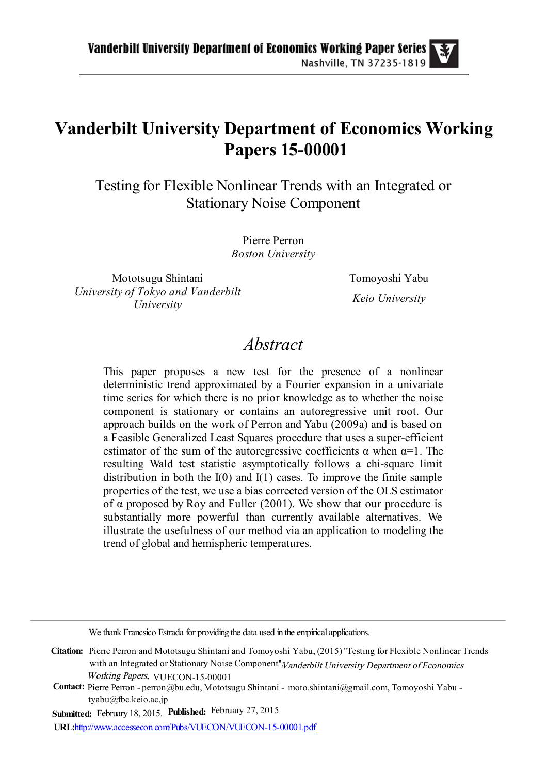## Vanderbilt University Department of Economics Working Papers 15-00001

Testing for Flexible Nonlinear Trends with an Integrated or Stationary Noise Component

> Pierre Perron Boston University

Mototsugu Shintani Tomoyoshi Yabu University of Tokyo and Vanderbilt University

Keio University

## Abstract

This paper proposes a new test for the presence of a nonlinear deterministic trend approximated by a Fourier expansion in a univariate time series for which there is no prior knowledge as to whether the noise component is stationary or contains an autoregressive unit root. Our approach builds on the work of Perron and Yabu (2009a) and is based on a Feasible Generalized Least Squares procedure that uses a super-efficient estimator of the sum of the autoregressive coefficients  $\alpha$  when  $\alpha=1$ . The resulting Wald test statistic asymptotically follows a chi-square limit distribution in both the  $I(0)$  and  $I(1)$  cases. To improve the finite sample properties of the test, we use a bias corrected version of the OLS estimator of  $\alpha$  proposed by Roy and Fuller (2001). We show that our procedure is substantially more powerful than currently available alternatives. We illustrate the usefulness of our method via an application to modeling the trend of global and hemispheric temperatures.

We thank Francsico Estrada for providing the data used in the empirical applications.

Citation: Pierre Perron and Mototsugu Shintani and Tomoyoshi Yabu, (2015) ''Testing for Flexible Nonlinear Trends with an Integrated or Stationary Noise Component", Vanderbilt University Department of Economics Working Papers, VUECON-15-00001

Contact: Pierre Perron - perron@bu.edu, Mototsugu Shintani - moto.shintani@gmail.com, Tomoyoshi Yabu tyabu@fbc.keio.ac.jp

Submitted: February 18, 2015. Published: February 27, 2015

URL[:http://www.accessecon.com/Pubs/VUECON/VUECON-15-00001.pdf](http://www.accessecon.com/Pubs/VUECON/VUECON-15-00003.pdf)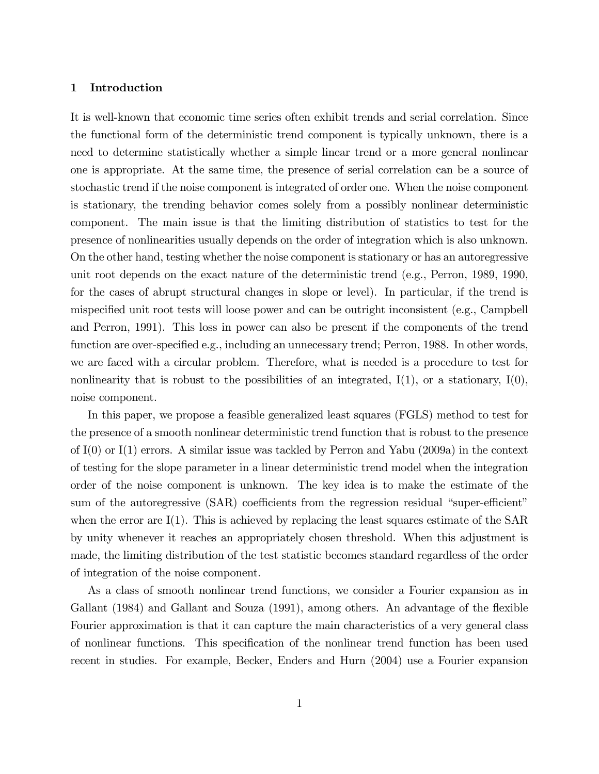## 1 Introduction

It is well-known that economic time series often exhibit trends and serial correlation. Since the functional form of the deterministic trend component is typically unknown, there is a need to determine statistically whether a simple linear trend or a more general nonlinear one is appropriate. At the same time, the presence of serial correlation can be a source of stochastic trend if the noise component is integrated of order one. When the noise component is stationary, the trending behavior comes solely from a possibly nonlinear deterministic component. The main issue is that the limiting distribution of statistics to test for the presence of nonlinearities usually depends on the order of integration which is also unknown. On the other hand, testing whether the noise component is stationary or has an autoregressive unit root depends on the exact nature of the deterministic trend (e.g., Perron, 1989, 1990, for the cases of abrupt structural changes in slope or level). In particular, if the trend is mispecified unit root tests will loose power and can be outright inconsistent (e.g., Campbell and Perron, 1991). This loss in power can also be present if the components of the trend function are over-specified e.g., including an unnecessary trend; Perron, 1988. In other words, we are faced with a circular problem. Therefore, what is needed is a procedure to test for nonlinearity that is robust to the possibilities of an integrated,  $I(1)$ , or a stationary,  $I(0)$ , noise component.

In this paper, we propose a feasible generalized least squares (FGLS) method to test for the presence of a smooth nonlinear deterministic trend function that is robust to the presence of I(0) or I(1) errors. A similar issue was tackled by Perron and Yabu (2009a) in the context of testing for the slope parameter in a linear deterministic trend model when the integration order of the noise component is unknown. The key idea is to make the estimate of the sum of the autoregressive  $(SAR)$  coefficients from the regression residual "super-efficient" when the error are  $I(1)$ . This is achieved by replacing the least squares estimate of the SAR by unity whenever it reaches an appropriately chosen threshold. When this adjustment is made, the limiting distribution of the test statistic becomes standard regardless of the order of integration of the noise component.

As a class of smooth nonlinear trend functions, we consider a Fourier expansion as in Gallant  $(1984)$  and Gallant and Souza  $(1991)$ , among others. An advantage of the flexible Fourier approximation is that it can capture the main characteristics of a very general class of nonlinear functions. This specification of the nonlinear trend function has been used recent in studies. For example, Becker, Enders and Hurn (2004) use a Fourier expansion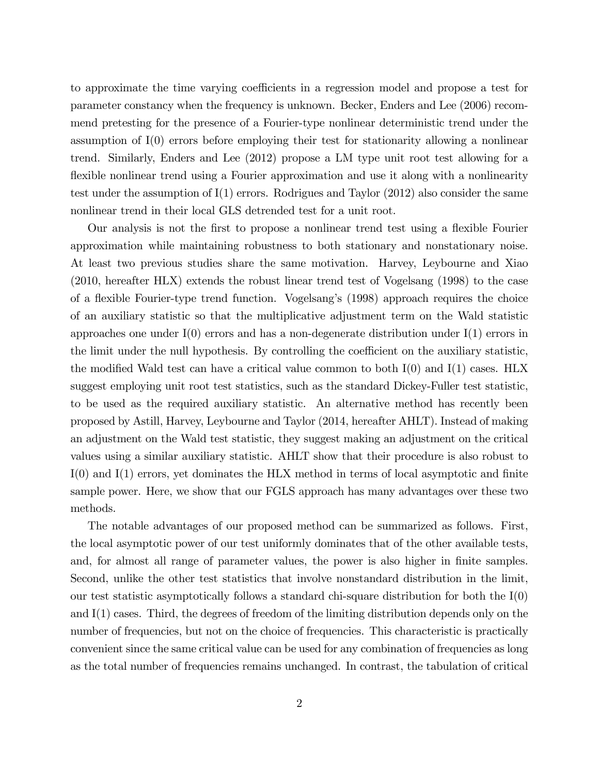to approximate the time varying coefficients in a regression model and propose a test for parameter constancy when the frequency is unknown. Becker, Enders and Lee (2006) recommend pretesting for the presence of a Fourier-type nonlinear deterministic trend under the assumption of I(0) errors before employing their test for stationarity allowing a nonlinear trend. Similarly, Enders and Lee (2012) propose a LM type unit root test allowing for a flexible nonlinear trend using a Fourier approximation and use it along with a nonlinearity test under the assumption of I(1) errors. Rodrigues and Taylor (2012) also consider the same nonlinear trend in their local GLS detrended test for a unit root.

Our analysis is not the first to propose a nonlinear trend test using a flexible Fourier approximation while maintaining robustness to both stationary and nonstationary noise. At least two previous studies share the same motivation. Harvey, Leybourne and Xiao (2010, hereafter HLX) extends the robust linear trend test of Vogelsang (1998) to the case of a flexible Fourier-type trend function. Vogelsang's (1998) approach requires the choice of an auxiliary statistic so that the multiplicative adjustment term on the Wald statistic approaches one under  $I(0)$  errors and has a non-degenerate distribution under  $I(1)$  errors in the limit under the null hypothesis. By controlling the coefficient on the auxiliary statistic, the modified Wald test can have a critical value common to both  $I(0)$  and  $I(1)$  cases. HLX suggest employing unit root test statistics, such as the standard Dickey-Fuller test statistic, to be used as the required auxiliary statistic. An alternative method has recently been proposed by Astill, Harvey, Leybourne and Taylor (2014, hereafter AHLT). Instead of making an adjustment on the Wald test statistic, they suggest making an adjustment on the critical values using a similar auxiliary statistic. AHLT show that their procedure is also robust to  $I(0)$  and  $I(1)$  errors, yet dominates the HLX method in terms of local asymptotic and finite sample power. Here, we show that our FGLS approach has many advantages over these two methods.

The notable advantages of our proposed method can be summarized as follows. First, the local asymptotic power of our test uniformly dominates that of the other available tests, and, for almost all range of parameter values, the power is also higher in finite samples. Second, unlike the other test statistics that involve nonstandard distribution in the limit, our test statistic asymptotically follows a standard chi-square distribution for both the I(0) and I(1) cases. Third, the degrees of freedom of the limiting distribution depends only on the number of frequencies, but not on the choice of frequencies. This characteristic is practically convenient since the same critical value can be used for any combination of frequencies as long as the total number of frequencies remains unchanged. In contrast, the tabulation of critical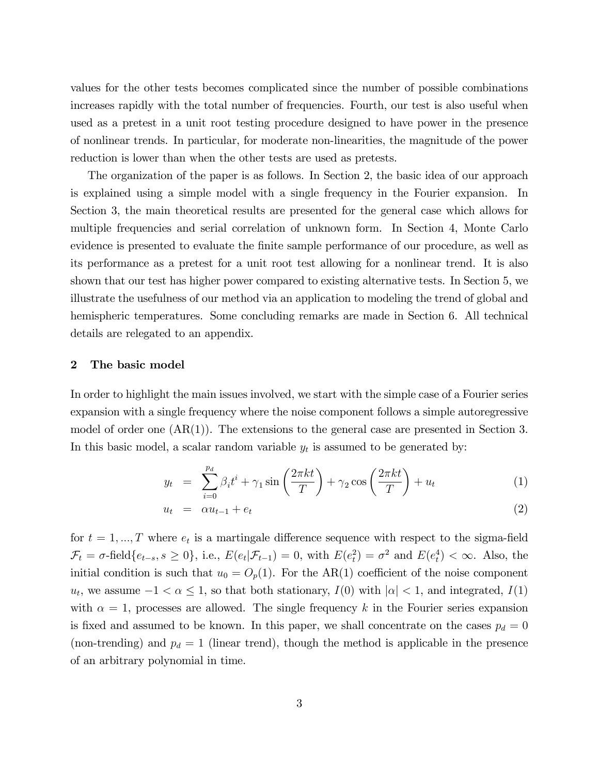values for the other tests becomes complicated since the number of possible combinations increases rapidly with the total number of frequencies. Fourth, our test is also useful when used as a pretest in a unit root testing procedure designed to have power in the presence of nonlinear trends. In particular, for moderate non-linearities, the magnitude of the power reduction is lower than when the other tests are used as pretests.

The organization of the paper is as follows. In Section 2, the basic idea of our approach is explained using a simple model with a single frequency in the Fourier expansion. In Section 3, the main theoretical results are presented for the general case which allows for multiple frequencies and serial correlation of unknown form. In Section 4, Monte Carlo evidence is presented to evaluate the finite sample performance of our procedure, as well as its performance as a pretest for a unit root test allowing for a nonlinear trend. It is also shown that our test has higher power compared to existing alternative tests. In Section 5, we illustrate the usefulness of our method via an application to modeling the trend of global and hemispheric temperatures. Some concluding remarks are made in Section 6. All technical details are relegated to an appendix.

### 2 The basic model

In order to highlight the main issues involved, we start with the simple case of a Fourier series expansion with a single frequency where the noise component follows a simple autoregressive model of order one  $(AR(1))$ . The extensions to the general case are presented in Section 3. In this basic model, a scalar random variable  $y_t$  is assumed to be generated by:

$$
y_t = \sum_{i=0}^{p_d} \beta_i t^i + \gamma_1 \sin\left(\frac{2\pi kt}{T}\right) + \gamma_2 \cos\left(\frac{2\pi kt}{T}\right) + u_t \tag{1}
$$

$$
u_t = \alpha u_{t-1} + e_t \tag{2}
$$

for  $t = 1, ..., T$  where  $e_t$  is a martingale difference sequence with respect to the sigma-field  $\mathcal{F}_t = \sigma$ -field  $\{e_{t-s}, s \geq 0\}$ , i.e.,  $E(e_t | \mathcal{F}_{t-1}) = 0$ , with  $E(e_t^2) = \sigma^2$  and  $E(e_t^4) < \infty$ . Also, the initial condition is such that  $u_0 = O_p(1)$ . For the AR(1) coefficient of the noise component  $u_t$ , we assume  $-1 < \alpha \leq 1$ , so that both stationary,  $I(0)$  with  $|\alpha| < 1$ , and integrated,  $I(1)$ with  $\alpha = 1$ , processes are allowed. The single frequency k in the Fourier series expansion is fixed and assumed to be known. In this paper, we shall concentrate on the cases  $p_d = 0$ (non-trending) and  $p_d = 1$  (linear trend), though the method is applicable in the presence of an arbitrary polynomial in time.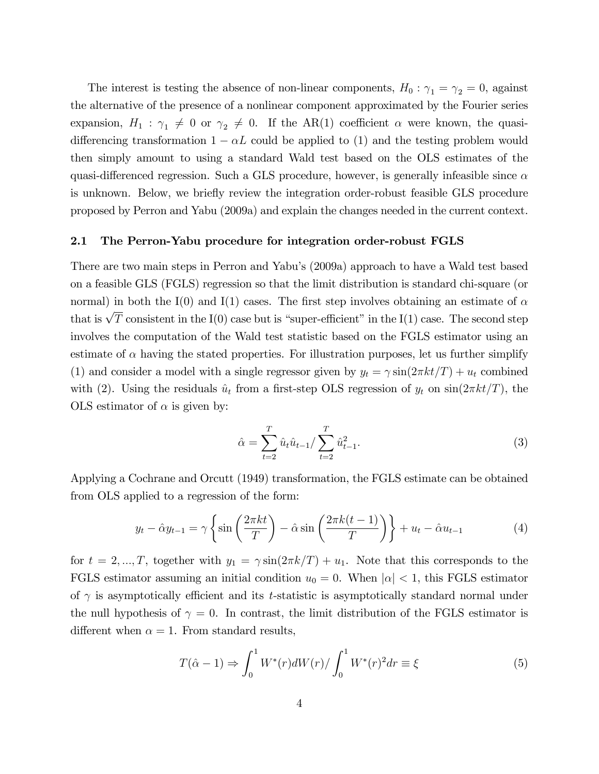The interest is testing the absence of non-linear components,  $H_0$ :  $\gamma_1 = \gamma_2 = 0$ , against the alternative of the presence of a nonlinear component approximated by the Fourier series expansion,  $H_1$ :  $\gamma_1 \neq 0$  or  $\gamma_2 \neq 0$ . If the AR(1) coefficient  $\alpha$  were known, the quasidifferencing transformation  $1 - \alpha L$  could be applied to (1) and the testing problem would then simply amount to using a standard Wald test based on the OLS estimates of the quasi-differenced regression. Such a GLS procedure, however, is generally infeasible since  $\alpha$ is unknown. Below, we briefly review the integration order-robust feasible GLS procedure proposed by Perron and Yabu (2009a) and explain the changes needed in the current context.

## 2.1 The Perron-Yabu procedure for integration order-robust FGLS

There are two main steps in Perron and Yabu's (2009a) approach to have a Wald test based on a feasible GLS (FGLS) regression so that the limit distribution is standard chi-square (or normal) in both the I(0) and I(1) cases. The first step involves obtaining an estimate of  $\alpha$ that is  $\sqrt{T}$  consistent in the I(0) case but is "super-efficient" in the I(1) case. The second step involves the computation of the Wald test statistic based on the FGLS estimator using an estimate of  $\alpha$  having the stated properties. For illustration purposes, let us further simplify (1) and consider a model with a single regressor given by  $y_t = \gamma \sin(2\pi kt/T) + u_t$  combined with (2). Using the residuals  $\hat{u}_t$  from a first-step OLS regression of  $y_t$  on  $\sin(2\pi kt/T)$ , the OLS estimator of  $\alpha$  is given by:

$$
\hat{\alpha} = \sum_{t=2}^{T} \hat{u}_t \hat{u}_{t-1} / \sum_{t=2}^{T} \hat{u}_{t-1}^2.
$$
\n(3)

Applying a Cochrane and Orcutt (1949) transformation, the FGLS estimate can be obtained from OLS applied to a regression of the form:

$$
y_t - \hat{\alpha} y_{t-1} = \gamma \left\{ \sin \left( \frac{2\pi kt}{T} \right) - \hat{\alpha} \sin \left( \frac{2\pi k(t-1)}{T} \right) \right\} + u_t - \hat{\alpha} u_{t-1}
$$
 (4)

for  $t = 2, ..., T$ , together with  $y_1 = \gamma \sin(2\pi k/T) + u_1$ . Note that this corresponds to the FGLS estimator assuming an initial condition  $u_0 = 0$ . When  $|\alpha| < 1$ , this FGLS estimator of  $\gamma$  is asymptotically efficient and its t-statistic is asymptotically standard normal under the null hypothesis of  $\gamma = 0$ . In contrast, the limit distribution of the FGLS estimator is different when  $\alpha = 1$ . From standard results,

$$
T(\hat{\alpha} - 1) \Rightarrow \int_0^1 W^*(r) dW(r) / \int_0^1 W^*(r)^2 dr \equiv \xi
$$
 (5)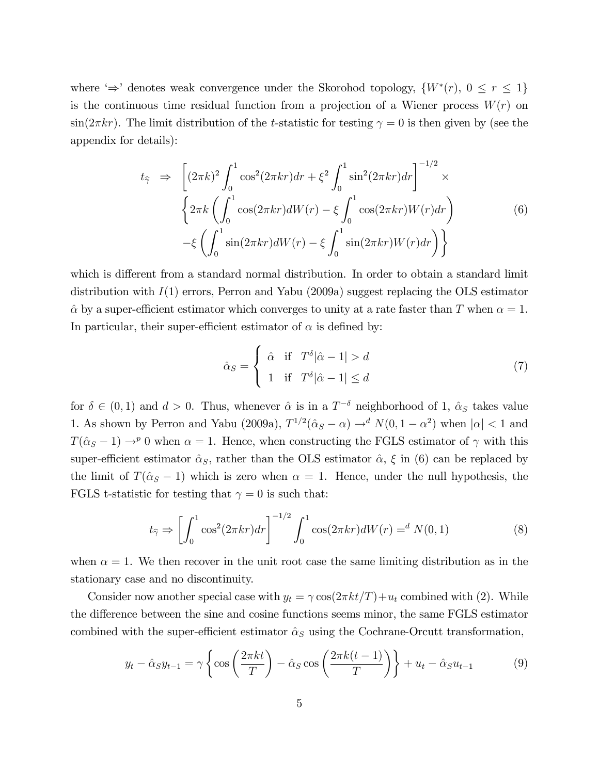where ' $\Rightarrow$ ' denotes weak convergence under the Skorohod topology,  $\{W^*(r), 0 \le r \le 1\}$ is the continuous time residual function from a projection of a Wiener process  $W(r)$  on  $\sin(2\pi kr)$ . The limit distribution of the t-statistic for testing  $\gamma = 0$  is then given by (see the appendix for details):

$$
t_{\hat{\gamma}} \Rightarrow \left[ (2\pi k)^2 \int_0^1 \cos^2(2\pi kr) dr + \xi^2 \int_0^1 \sin^2(2\pi kr) dr \right]^{-1/2} \times
$$
  

$$
\left\{ 2\pi k \left( \int_0^1 \cos(2\pi kr) dW(r) - \xi \int_0^1 \cos(2\pi kr) W(r) dr \right) - \xi \left( \int_0^1 \sin(2\pi kr) dW(r) - \xi \int_0^1 \sin(2\pi kr) W(r) dr \right) \right\}
$$
(6)

which is different from a standard normal distribution. In order to obtain a standard limit distribution with  $I(1)$  errors, Perron and Yabu (2009a) suggest replacing the OLS estimator  $\hat{\alpha}$  by a super-efficient estimator which converges to unity at a rate faster than T when  $\alpha = 1$ . In particular, their super-efficient estimator of  $\alpha$  is defined by:

$$
\hat{\alpha}_S = \begin{cases}\n\hat{\alpha} & \text{if } T^{\delta}|\hat{\alpha} - 1| > d \\
1 & \text{if } T^{\delta}|\hat{\alpha} - 1| \le d\n\end{cases}
$$
\n(7)

for  $\delta \in (0,1)$  and  $d > 0$ . Thus, whenever  $\hat{\alpha}$  is in a  $T^{-\delta}$  neighborhood of 1,  $\hat{\alpha}_S$  takes value 1. As shown by Perron and Yabu (2009a),  $T^{1/2}(\hat{\alpha}_S - \alpha) \rightarrow d N(0, 1 - \alpha^2)$  when  $|\alpha| < 1$  and  $T(\hat{\alpha}_S - 1) \rightarrow^p 0$  when  $\alpha = 1$ . Hence, when constructing the FGLS estimator of  $\gamma$  with this super-efficient estimator  $\hat{\alpha}_s$ , rather than the OLS estimator  $\hat{\alpha}$ ,  $\xi$  in (6) can be replaced by the limit of  $T(\hat{\alpha}_s - 1)$  which is zero when  $\alpha = 1$ . Hence, under the null hypothesis, the FGLS t-statistic for testing that  $\gamma = 0$  is such that:

$$
t_{\hat{\gamma}} \Rightarrow \left[ \int_0^1 \cos^2(2\pi kr) dr \right]^{-1/2} \int_0^1 \cos(2\pi kr) dW(r) =^d N(0, 1)
$$
 (8)

when  $\alpha = 1$ . We then recover in the unit root case the same limiting distribution as in the stationary case and no discontinuity.

Consider now another special case with  $y_t = \gamma \cos(2\pi kt/T) + u_t$  combined with (2). While the difference between the sine and cosine functions seems minor, the same FGLS estimator combined with the super-efficient estimator  $\hat{\alpha}_S$  using the Cochrane-Orcutt transformation,

$$
y_t - \hat{\alpha}_S y_{t-1} = \gamma \left\{ \cos \left( \frac{2\pi kt}{T} \right) - \hat{\alpha}_S \cos \left( \frac{2\pi k(t-1)}{T} \right) \right\} + u_t - \hat{\alpha}_S u_{t-1}
$$
(9)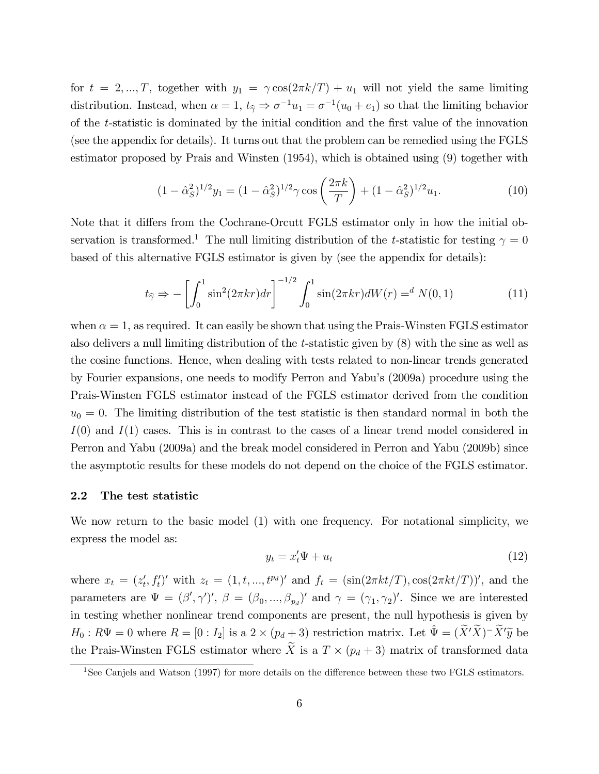for  $t = 2, ..., T$ , together with  $y_1 = \gamma \cos(2\pi k/T) + u_1$  will not yield the same limiting distribution. Instead, when  $\alpha = 1$ ,  $t_{\hat{\gamma}} \Rightarrow \sigma^{-1}u_1 = \sigma^{-1}(u_0 + e_1)$  so that the limiting behavior of the  $t$ -statistic is dominated by the initial condition and the first value of the innovation (see the appendix for details). It turns out that the problem can be remedied using the FGLS estimator proposed by Prais and Winsten (1954), which is obtained using (9) together with

$$
(1 - \hat{\alpha}_S^2)^{1/2} y_1 = (1 - \hat{\alpha}_S^2)^{1/2} \gamma \cos\left(\frac{2\pi k}{T}\right) + (1 - \hat{\alpha}_S^2)^{1/2} u_1.
$$
 (10)

Note that it differs from the Cochrane-Orcutt FGLS estimator only in how the initial observation is transformed.<sup>1</sup> The null limiting distribution of the t-statistic for testing  $\gamma = 0$ based of this alternative FGLS estimator is given by (see the appendix for details):

$$
t_{\hat{\gamma}} \Rightarrow -\left[\int_0^1 \sin^2(2\pi kr)dr\right]^{-1/2} \int_0^1 \sin(2\pi kr) dW(r) =^d N(0, 1)
$$
 (11)

when  $\alpha = 1$ , as required. It can easily be shown that using the Prais-Winsten FGLS estimator also delivers a null limiting distribution of the t-statistic given by (8) with the sine as well as the cosine functions. Hence, when dealing with tests related to non-linear trends generated by Fourier expansions, one needs to modify Perron and Yabu's (2009a) procedure using the Prais-Winsten FGLS estimator instead of the FGLS estimator derived from the condition  $u_0 = 0$ . The limiting distribution of the test statistic is then standard normal in both the  $I(0)$  and  $I(1)$  cases. This is in contrast to the cases of a linear trend model considered in Perron and Yabu (2009a) and the break model considered in Perron and Yabu (2009b) since the asymptotic results for these models do not depend on the choice of the FGLS estimator.

### 2.2 The test statistic

We now return to the basic model (1) with one frequency. For notational simplicity, we express the model as:

$$
y_t = x_t' \Psi + u_t \tag{12}
$$

where  $x_t = (z'_t, f'_t)'$  with  $z_t = (1, t, ..., t^{p_d})'$  and  $f_t = (\sin(2\pi kt/T), \cos(2\pi kt/T))'$ , and the parameters are  $\Psi = (\beta', \gamma')', \beta = (\beta_0, ..., \beta_{p_d})'$  and  $\gamma = (\gamma_1, \gamma_2)'$ . Since we are interested in testing whether nonlinear trend components are present, the null hypothesis is given by  $H_0: R\Psi = 0$  where  $R = [0:I_2]$  is a  $2 \times (p_d + 3)$  restriction matrix. Let  $\hat{\Psi} = (\tilde{X}'\tilde{X})^{-1}\tilde{X}'\tilde{y}$  be the Prais-Winsten FGLS estimator where  $\widetilde{X}$  is a  $T \times (p_d + 3)$  matrix of transformed data

<sup>&</sup>lt;sup>1</sup>See Canjels and Watson  $(1997)$  for more details on the difference between these two FGLS estimators.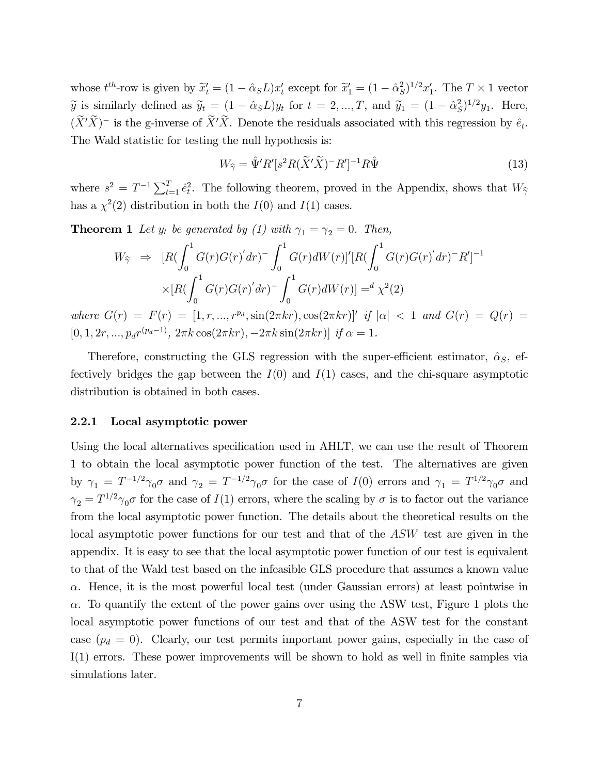whose  $t^{th}$ -row is given by  $\tilde{x}'_t = (1 - \hat{\alpha}_S L)x'_t$  except for  $\tilde{x}'_1 = (1 - \hat{\alpha}_S^2 L)x'_t$  $(S)^{1/2}x_1'$ . The  $T \times 1$  vector  $\widetilde{y}$  is similarly defined as  $\widetilde{y}_t = (1 - \hat{\alpha}_S L)y_t$  for  $t = 2, ..., T$ , and  $\widetilde{y}_1 = (1 - \hat{\alpha}_S^2 L)y_t$  $^{2}_{S})^{1/2}y_{1}$ . Here,  $(X'X)^-$  is the g-inverse of  $X'X$ . Denote the residuals associated with this regression by  $\hat{e}_t$ . The Wald statistic for testing the null hypothesis is:

$$
W_{\widehat{\gamma}} = \widehat{\Psi}' R'[s^2 R(\widetilde{X}'\widetilde{X})^- R']^{-1} R \widehat{\Psi}
$$
\n(13)

where  $s^2 = T^{-1} \sum_{t=1}^T \hat{e}_t^2$ . The following theorem, proved in the Appendix, shows that  $W_{\hat{\gamma}}$ has a  $\chi^2(2)$  distribution in both the  $I(0)$  and  $I(1)$  cases.

**Theorem 1** Let  $y_t$  be generated by (1) with  $\gamma_1 = \gamma_2 = 0$ . Then,

$$
W_{\hat{\gamma}} \Rightarrow [R(\int_0^1 G(r)G(r)'dr)^{-} \int_0^1 G(r)dW(r)]'[R(\int_0^1 G(r)G(r)'dr)^{-}R']^{-1}
$$
  
 
$$
\times [R(\int_0^1 G(r)G(r)'dr)^{-} \int_0^1 G(r)dW(r)] = d\chi^2(2)
$$

where  $G(r) = F(r) = [1, r, ..., r^{p_d}, \sin(2\pi kr), \cos(2\pi kr)]'$  if  $|\alpha| < 1$  and  $G(r) = Q(r) =$  $[0, 1, 2r, ..., p_d r^{(p_d-1)}, 2\pi k \cos(2\pi kr), -2\pi k \sin(2\pi kr)]$  if  $\alpha = 1$ .

Therefore, constructing the GLS regression with the super-efficient estimator,  $\hat{\alpha}_S$ , effectively bridges the gap between the  $I(0)$  and  $I(1)$  cases, and the chi-square asymptotic distribution is obtained in both cases.

## 2.2.1 Local asymptotic power

Using the local alternatives specification used in AHLT, we can use the result of Theorem 1 to obtain the local asymptotic power function of the test. The alternatives are given by  $\gamma_1 = T^{-1/2} \gamma_0 \sigma$  and  $\gamma_2 = T^{-1/2} \gamma_0 \sigma$  for the case of  $I(0)$  errors and  $\gamma_1 = T^{1/2} \gamma_0 \sigma$  and  $\gamma_2 = T^{1/2}\gamma_0\sigma$  for the case of  $I(1)$  errors, where the scaling by  $\sigma$  is to factor out the variance from the local asymptotic power function. The details about the theoretical results on the local asymptotic power functions for our test and that of the ASW test are given in the appendix. It is easy to see that the local asymptotic power function of our test is equivalent to that of the Wald test based on the infeasible GLS procedure that assumes a known value  $\alpha$ . Hence, it is the most powerful local test (under Gaussian errors) at least pointwise in  $\alpha$ . To quantify the extent of the power gains over using the ASW test, Figure 1 plots the local asymptotic power functions of our test and that of the ASW test for the constant case  $(p_d = 0)$ . Clearly, our test permits important power gains, especially in the case of  $I(1)$  errors. These power improvements will be shown to hold as well in finite samples via simulations later.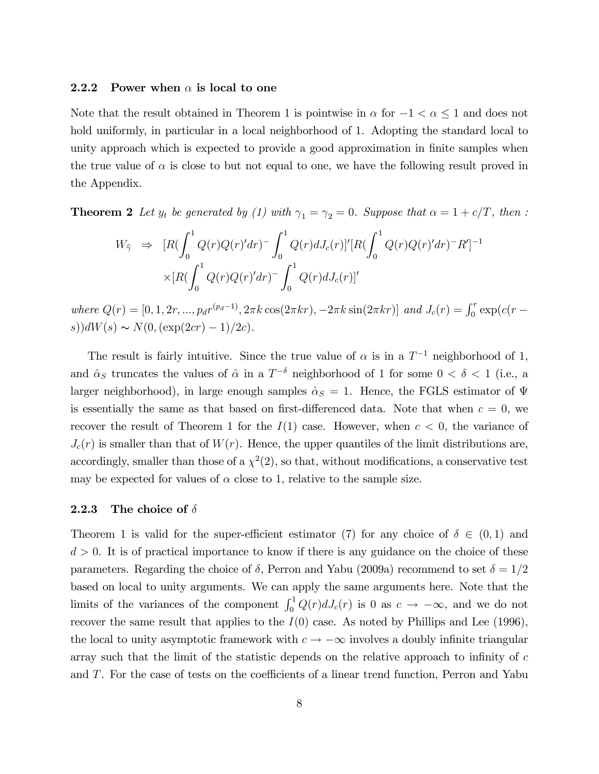### 2.2.2 Power when  $\alpha$  is local to one

Note that the result obtained in Theorem 1 is pointwise in  $\alpha$  for  $-1 < \alpha < 1$  and does not hold uniformly, in particular in a local neighborhood of 1. Adopting the standard local to unity approach which is expected to provide a good approximation in finite samples when the true value of  $\alpha$  is close to but not equal to one, we have the following result proved in the Appendix.

**Theorem 2** Let  $y_t$  be generated by (1) with  $\gamma_1 = \gamma_2 = 0$ . Suppose that  $\alpha = 1 + c/T$ , then :

$$
W_{\hat{\gamma}} \Rightarrow [R(\int_0^1 Q(r)Q(r)'dr)^{-} \int_0^1 Q(r)dJ_c(r)]'[R(\int_0^1 Q(r)Q(r)'dr)^{-}R']^{-1}
$$
  
 
$$
\times [R(\int_0^1 Q(r)Q(r)'dr)^{-} \int_0^1 Q(r)dJ_c(r)]'
$$

where  $Q(r) = [0, 1, 2r, ..., p_d r^{(p_d-1)}, 2\pi k \cos(2\pi kr), -2\pi k \sin(2\pi kr)]$  and  $J_c(r) = \int_0^r \exp(c(r - \pi r)) dr$ s))d $W(s) \sim N(0,(\exp(2cr) - 1)/2c)$ .

The result is fairly intuitive. Since the true value of  $\alpha$  is in a  $T^{-1}$  neighborhood of 1, and  $\hat{\alpha}_S$  truncates the values of  $\hat{\alpha}$  in a  $T^{-\delta}$  neighborhood of 1 for some  $0 < \delta < 1$  (i.e., a larger neighborhood), in large enough samples  $\hat{\alpha}_S = 1$ . Hence, the FGLS estimator of  $\Psi$ is essentially the same as that based on first-differenced data. Note that when  $c = 0$ , we recover the result of Theorem 1 for the  $I(1)$  case. However, when  $c < 0$ , the variance of  $J_c(r)$  is smaller than that of  $W(r)$ . Hence, the upper quantiles of the limit distributions are, accordingly, smaller than those of a  $\chi^2(2)$ , so that, without modifications, a conservative test may be expected for values of  $\alpha$  close to 1, relative to the sample size.

### 2.2.3 The choice of  $\delta$

Theorem 1 is valid for the super-efficient estimator (7) for any choice of  $\delta \in (0,1)$  and  $d > 0$ . It is of practical importance to know if there is any guidance on the choice of these parameters. Regarding the choice of  $\delta$ , Perron and Yabu (2009a) recommend to set  $\delta = 1/2$ based on local to unity arguments. We can apply the same arguments here. Note that the limits of the variances of the component  $\int_0^1 Q(r) dJ_c(r)$  is 0 as  $c \to -\infty$ , and we do not recover the same result that applies to the  $I(0)$  case. As noted by Phillips and Lee (1996), the local to unity asymptotic framework with  $c \to -\infty$  involves a doubly infinite triangular array such that the limit of the statistic depends on the relative approach to infinity of  $c$ and  $T$ . For the case of tests on the coefficients of a linear trend function, Perron and Yabu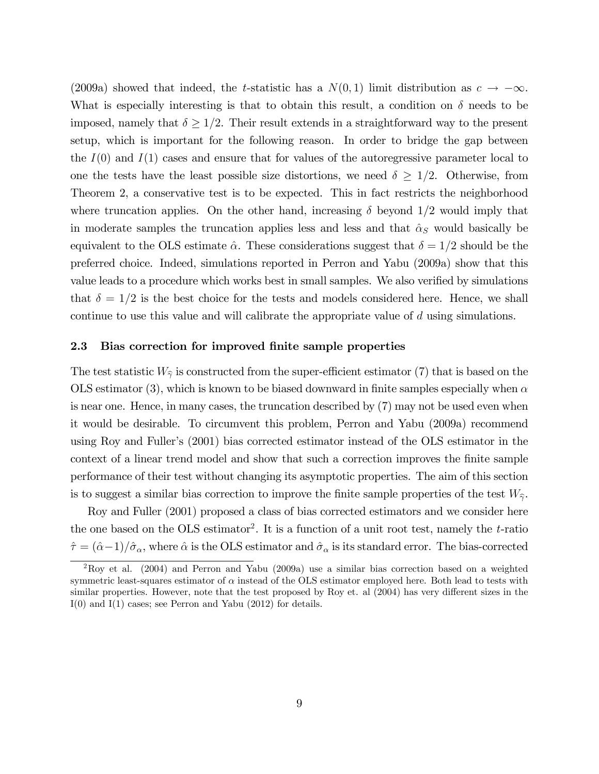(2009a) showed that indeed, the *t*-statistic has a  $N(0,1)$  limit distribution as  $c \to -\infty$ . What is especially interesting is that to obtain this result, a condition on  $\delta$  needs to be imposed, namely that  $\delta \geq 1/2$ . Their result extends in a straightforward way to the present setup, which is important for the following reason. In order to bridge the gap between the  $I(0)$  and  $I(1)$  cases and ensure that for values of the autoregressive parameter local to one the tests have the least possible size distortions, we need  $\delta \geq 1/2$ . Otherwise, from Theorem 2, a conservative test is to be expected. This in fact restricts the neighborhood where truncation applies. On the other hand, increasing  $\delta$  beyond 1/2 would imply that in moderate samples the truncation applies less and less and that  $\hat{\alpha}_S$  would basically be equivalent to the OLS estimate  $\hat{\alpha}$ . These considerations suggest that  $\delta = 1/2$  should be the preferred choice. Indeed, simulations reported in Perron and Yabu (2009a) show that this value leads to a procedure which works best in small samples. We also verified by simulations that  $\delta = 1/2$  is the best choice for the tests and models considered here. Hence, we shall continue to use this value and will calibrate the appropriate value of d using simulations.

### 2.3 Bias correction for improved finite sample properties

The test statistic  $W_{\hat{\gamma}}$  is constructed from the super-efficient estimator (7) that is based on the OLS estimator (3), which is known to be biased downward in finite samples especially when  $\alpha$ is near one. Hence, in many cases, the truncation described by (7) may not be used even when it would be desirable. To circumvent this problem, Perron and Yabu (2009a) recommend using Roy and Fuller's (2001) bias corrected estimator instead of the OLS estimator in the context of a linear trend model and show that such a correction improves the finite sample performance of their test without changing its asymptotic properties. The aim of this section is to suggest a similar bias correction to improve the finite sample properties of the test  $W_{\hat{\gamma}}$ .

Roy and Fuller (2001) proposed a class of bias corrected estimators and we consider here the one based on the OLS estimator<sup>2</sup>. It is a function of a unit root test, namely the  $t$ -ratio  $\hat{\tau} = (\hat{\alpha}-1)/\hat{\sigma}_{\alpha}$ , where  $\hat{\alpha}$  is the OLS estimator and  $\hat{\sigma}_{\alpha}$  is its standard error. The bias-corrected

<sup>2</sup>Roy et al. (2004) and Perron and Yabu (2009a) use a similar bias correction based on a weighted symmetric least-squares estimator of  $\alpha$  instead of the OLS estimator employed here. Both lead to tests with similar properties. However, note that the test proposed by Roy et. al (2004) has very different sizes in the I(0) and I(1) cases; see Perron and Yabu (2012) for details.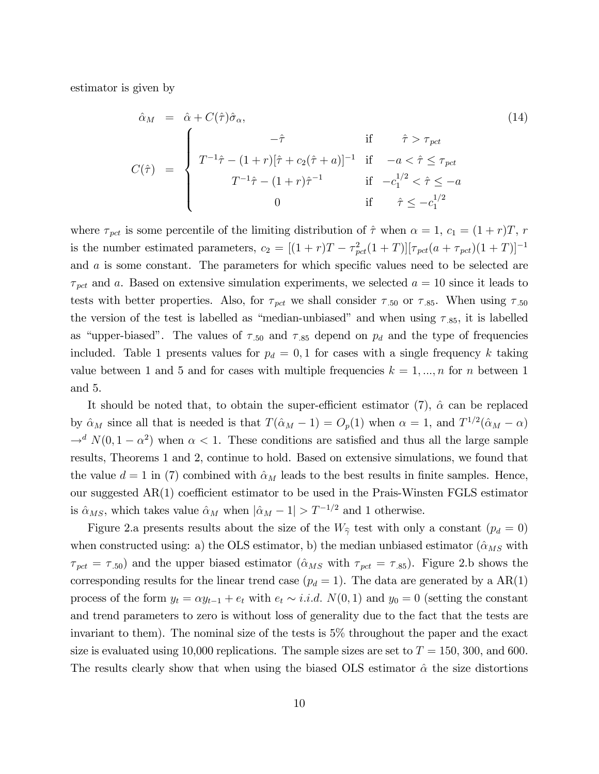estimator is given by

$$
\hat{\alpha}_M = \hat{\alpha} + C(\hat{\tau})\hat{\sigma}_{\alpha},
$$
\n
$$
C(\hat{\tau}) = \begin{cases}\n-\hat{\tau} & \text{if } \hat{\tau} > \tau_{\text{pct}} \\
T^{-1}\hat{\tau} - (1+r)[\hat{\tau} + c_2(\hat{\tau} + a)]^{-1} & \text{if } -a < \hat{\tau} \le \tau_{\text{pct}} \\
T^{-1}\hat{\tau} - (1+r)\hat{\tau}^{-1} & \text{if } -c_1^{1/2} < \hat{\tau} \le -a \\
0 & \text{if } \hat{\tau} \le -c_1^{1/2}\n\end{cases}
$$
\n(14)

where  $\tau_{pet}$  is some percentile of the limiting distribution of  $\hat{\tau}$  when  $\alpha = 1, c_1 = (1 + r)T, r$ is the number estimated parameters,  $c_2 = [(1+r)T - \tau_{pot}^2(1+T)][\tau_{pot}(a+\tau_{pot})(1+T)]^{-1}$ and  $a$  is some constant. The parameters for which specific values need to be selected are  $\tau_{\text{pct}}$  and a. Based on extensive simulation experiments, we selected  $a = 10$  since it leads to tests with better properties. Also, for  $\tau_{\text{pot}}$  we shall consider  $\tau_{.50}$  or  $\tau_{.85}$ . When using  $\tau_{.50}$ the version of the test is labelled as "median-unbiased" and when using  $\tau_{.85}$ , it is labelled as "upper-biased". The values of  $\tau_{.50}$  and  $\tau_{.85}$  depend on  $p_d$  and the type of frequencies included. Table 1 presents values for  $p_d = 0, 1$  for cases with a single frequency k taking value between 1 and 5 and for cases with multiple frequencies  $k = 1, ..., n$  for n between 1 and 5.

It should be noted that, to obtain the super-efficient estimator  $(7)$ ,  $\hat{\alpha}$  can be replaced by  $\hat{\alpha}_M$  since all that is needed is that  $T(\hat{\alpha}_M - 1) = O_p(1)$  when  $\alpha = 1$ , and  $T^{1/2}(\hat{\alpha}_M - \alpha)$  $\rightarrow^d N(0, 1 - \alpha^2)$  when  $\alpha < 1$ . These conditions are satisfied and thus all the large sample results, Theorems 1 and 2, continue to hold. Based on extensive simulations, we found that the value  $d = 1$  in (7) combined with  $\hat{\alpha}_M$  leads to the best results in finite samples. Hence, our suggested  $AR(1)$  coefficient estimator to be used in the Prais-Winsten FGLS estimator is  $\hat{\alpha}_{MS}$ , which takes value  $\hat{\alpha}_M$  when  $|\hat{\alpha}_M - 1| > T^{-1/2}$  and 1 otherwise.

Figure 2.a presents results about the size of the  $W_{\hat{\gamma}}$  test with only a constant  $(p_d = 0)$ when constructed using: a) the OLS estimator, b) the median unbiased estimator ( $\hat{\alpha}_{MS}$  with  $\tau_{\text{pot}} = \tau_{.50}$  and the upper biased estimator ( $\hat{\alpha}_{MS}$  with  $\tau_{\text{pot}} = \tau_{.85}$ ). Figure 2.b shows the corresponding results for the linear trend case  $(p_d = 1)$ . The data are generated by a AR(1) process of the form  $y_t = \alpha y_{t-1} + e_t$  with  $e_t \sim i.i.d. N(0, 1)$  and  $y_0 = 0$  (setting the constant and trend parameters to zero is without loss of generality due to the fact that the tests are invariant to them). The nominal size of the tests is 5% throughout the paper and the exact size is evaluated using 10,000 replications. The sample sizes are set to  $T = 150, 300,$  and 600. The results clearly show that when using the biased OLS estimator  $\hat{\alpha}$  the size distortions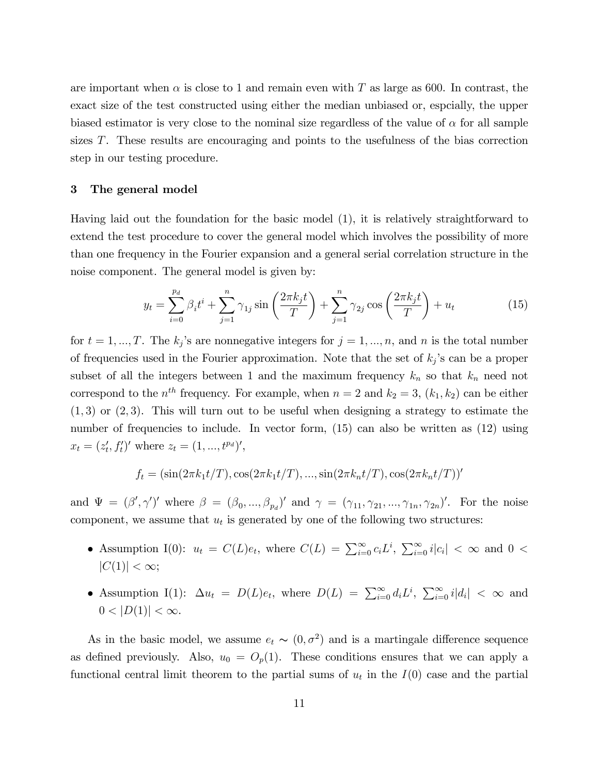are important when  $\alpha$  is close to 1 and remain even with T as large as 600. In contrast, the exact size of the test constructed using either the median unbiased or, espcially, the upper biased estimator is very close to the nominal size regardless of the value of  $\alpha$  for all sample sizes T. These results are encouraging and points to the usefulness of the bias correction step in our testing procedure.

### 3 The general model

Having laid out the foundation for the basic model (1), it is relatively straightforward to extend the test procedure to cover the general model which involves the possibility of more than one frequency in the Fourier expansion and a general serial correlation structure in the noise component. The general model is given by:

$$
y_t = \sum_{i=0}^{p_d} \beta_i t^i + \sum_{j=1}^n \gamma_{1j} \sin\left(\frac{2\pi k_j t}{T}\right) + \sum_{j=1}^n \gamma_{2j} \cos\left(\frac{2\pi k_j t}{T}\right) + u_t
$$
 (15)

for  $t = 1, ..., T$ . The  $k_j$ 's are nonnegative integers for  $j = 1, ..., n$ , and n is the total number of frequencies used in the Fourier approximation. Note that the set of  $k_j$ 's can be a proper subset of all the integers between 1 and the maximum frequency  $k_n$  so that  $k_n$  need not correspond to the  $n^{th}$  frequency. For example, when  $n = 2$  and  $k_2 = 3$ ,  $(k_1, k_2)$  can be either  $(1,3)$  or  $(2,3)$ . This will turn out to be useful when designing a strategy to estimate the number of frequencies to include. In vector form, (15) can also be written as (12) using  $x_t = (z'_t, f'_t)'$  where  $z_t = (1, ..., t^{p_d})'$ ,

$$
f_t = (\sin(2\pi k_1 t/T), \cos(2\pi k_1 t/T), ..., \sin(2\pi k_n t/T), \cos(2\pi k_n t/T))'
$$

and  $\Psi = (\beta', \gamma')'$  where  $\beta = (\beta_0, ..., \beta_{p_d})'$  and  $\gamma = (\gamma_{11}, \gamma_{21}, ..., \gamma_{1n}, \gamma_{2n})'$ . For the noise component, we assume that  $u_t$  is generated by one of the following two structures:

- Assumption I(0):  $u_t = C(L)e_t$ , where  $C(L) = \sum_{i=0}^{\infty} c_i L^i$ ,  $\sum_{i=0}^{\infty} i|c_i| < \infty$  and  $0 <$  $|C(1)| < \infty;$
- Assumption I(1):  $\Delta u_t = D(L)e_t$ , where  $D(L) = \sum_{i=0}^{\infty} d_i L^i$ ,  $\sum_{i=0}^{\infty} i |d_i| < \infty$  and  $0 < |D(1)| < \infty$ .

As in the basic model, we assume  $e_t \sim (0, \sigma^2)$  and is a martingale difference sequence as defined previously. Also,  $u_0 = O_p(1)$ . These conditions ensures that we can apply a functional central limit theorem to the partial sums of  $u_t$  in the  $I(0)$  case and the partial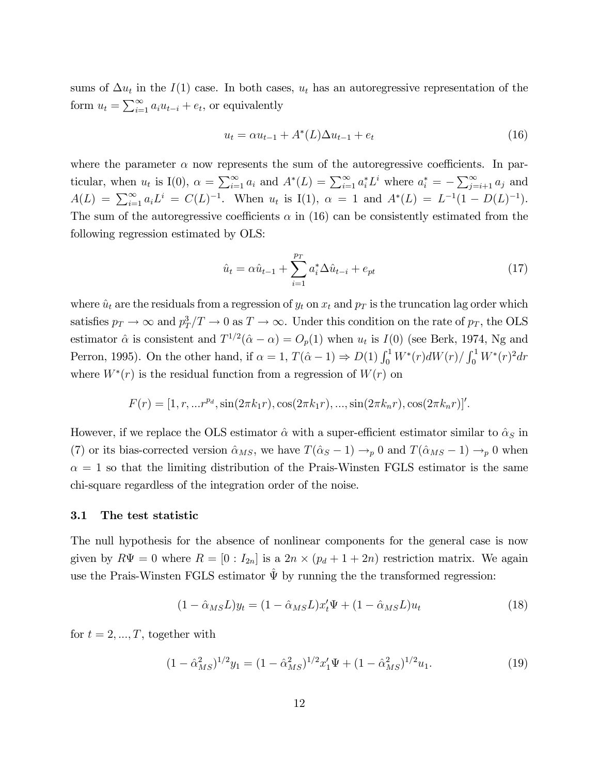sums of  $\Delta u_t$  in the  $I(1)$  case. In both cases,  $u_t$  has an autoregressive representation of the form  $u_t = \sum_{i=1}^{\infty} a_i u_{t-i} + e_t$ , or equivalently

$$
u_t = \alpha u_{t-1} + A^*(L)\Delta u_{t-1} + e_t
$$
\n(16)

where the parameter  $\alpha$  now represents the sum of the autoregressive coefficients. In particular, when  $u_t$  is I(0),  $\alpha = \sum_{i=1}^{\infty} a_i$  and  $A^*(L) = \sum_{i=1}^{\infty} a_i^* L^i$  where  $a_i^* = -\sum_{j=i+1}^{\infty} a_j$  and  $A(L) = \sum_{i=1}^{\infty} a_i L^i = C(L)^{-1}$ . When  $u_t$  is I(1),  $\alpha = 1$  and  $A^*(L) = L^{-1}(1 - D(L)^{-1})$ . The sum of the autoregressive coefficients  $\alpha$  in (16) can be consistently estimated from the following regression estimated by OLS:

$$
\hat{u}_t = \alpha \hat{u}_{t-1} + \sum_{i=1}^{p_T} a_i^* \Delta \hat{u}_{t-i} + e_{pt} \tag{17}
$$

where  $\hat{u}_t$  are the residuals from a regression of  $y_t$  on  $x_t$  and  $p_T$  is the truncation lag order which satisfies  $p_T \to \infty$  and  $p_T^3/T \to 0$  as  $T \to \infty$ . Under this condition on the rate of  $p_T$ , the OLS estimator  $\hat{\alpha}$  is consistent and  $T^{1/2}(\hat{\alpha} - \alpha) = O_p(1)$  when  $u_t$  is  $I(0)$  (see Berk, 1974, Ng and Perron, 1995). On the other hand, if  $\alpha = 1$ ,  $T(\hat{\alpha} - 1) \Rightarrow D(1) \int_0^1 W^*(r) dW(r) / \int_0^1 W^*(r)^2 dr$ where  $W^*(r)$  is the residual function from a regression of  $W(r)$  on

$$
F(r) = [1, r, ... r^{p_d}, \sin(2\pi k_1 r), \cos(2\pi k_1 r), ..., \sin(2\pi k_n r), \cos(2\pi k_n r)]'.
$$

However, if we replace the OLS estimator  $\hat{\alpha}$  with a super-efficient estimator similar to  $\hat{\alpha}_S$  in (7) or its bias-corrected version  $\hat{\alpha}_{MS}$ , we have  $T(\hat{\alpha}_S - 1) \rightarrow_p 0$  and  $T(\hat{\alpha}_{MS} - 1) \rightarrow_p 0$  when  $\alpha = 1$  so that the limiting distribution of the Prais-Winsten FGLS estimator is the same chi-square regardless of the integration order of the noise.

## 3.1 The test statistic

The null hypothesis for the absence of nonlinear components for the general case is now given by  $R\Psi = 0$  where  $R = [0 : I_{2n}]$  is a  $2n \times (p_d + 1 + 2n)$  restriction matrix. We again use the Prais-Winsten FGLS estimator  $\hat{\Psi}$  by running the the transformed regression:

$$
(1 - \hat{\alpha}_{MS}L)y_t = (1 - \hat{\alpha}_{MS}L)x_t'\Psi + (1 - \hat{\alpha}_{MS}L)u_t
$$
\n(18)

for  $t = 2, ..., T$ , together with

$$
(1 - \hat{\alpha}_{MS}^2)^{1/2} y_1 = (1 - \hat{\alpha}_{MS}^2)^{1/2} x_1' \Psi + (1 - \hat{\alpha}_{MS}^2)^{1/2} u_1.
$$
 (19)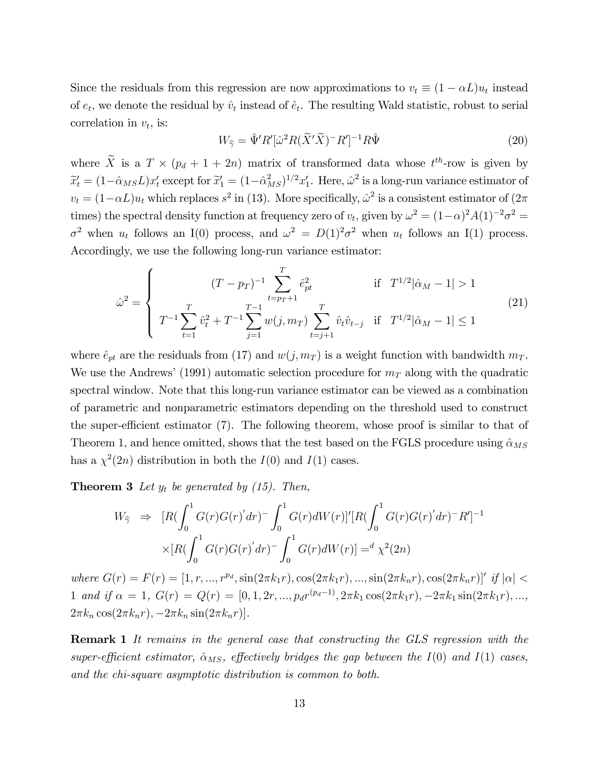Since the residuals from this regression are now approximations to  $v_t \equiv (1 - \alpha L)u_t$  instead of  $e_t$ , we denote the residual by  $\hat{v}_t$  instead of  $\hat{e}_t$ . The resulting Wald statistic, robust to serial correlation in  $v_t$ , is:

$$
W_{\widehat{\gamma}} = \widehat{\Psi}' R' [\widehat{\omega}^2 R (\widetilde{X}' \widetilde{X})^- R']^{-1} R \widehat{\Psi}
$$
\n(20)

where  $\overline{X}$  is a  $T \times (p_d + 1 + 2n)$  matrix of transformed data whose  $t^{th}$ -row is given by  $\widetilde{x}'_t = (1 - \hat{\alpha}_{MS} L)x'_t$  except for  $\widetilde{x}'_1 = (1 - \hat{\alpha}_M^2)$  $\int_{MS}^{2}$ )<sup>1/2</sup> $x'_{1}$ . Here,  $\hat{\omega}^{2}$  is a long-run variance estimator of  $v_t = (1 - \alpha L)u_t$  which replaces  $s^2$  in (13). More specifically,  $\hat{\omega}^2$  is a consistent estimator of  $(2\pi$ times) the spectral density function at frequency zero of  $v_t$ , given by  $\omega^2 = (1-\alpha)^2 A(1)^{-2} \sigma^2 =$  $\sigma^2$  when  $u_t$  follows an I(0) process, and  $\omega^2 = D(1)^2 \sigma^2$  when  $u_t$  follows an I(1) process. Accordingly, we use the following long-run variance estimator:

$$
\hat{\omega}^2 = \begin{cases}\n(T - p_T)^{-1} \sum_{t = p_T + 1}^T \hat{e}_{pt}^2 & \text{if } T^{1/2} |\hat{\alpha}_M - 1| > 1 \\
T^{-1} \sum_{t = 1}^T \hat{v}_t^2 + T^{-1} \sum_{j = 1}^{T-1} w(j, m_T) \sum_{t = j + 1}^T \hat{v}_t \hat{v}_{t - j} & \text{if } T^{1/2} |\hat{\alpha}_M - 1| \le 1\n\end{cases}
$$
\n(21)

where  $\hat{e}_{pt}$  are the residuals from (17) and  $w(j, m_T)$  is a weight function with bandwidth  $m_T$ . We use the Andrews' (1991) automatic selection procedure for  $m<sub>T</sub>$  along with the quadratic spectral window. Note that this long-run variance estimator can be viewed as a combination of parametric and nonparametric estimators depending on the threshold used to construct the super-efficient estimator  $(7)$ . The following theorem, whose proof is similar to that of Theorem 1, and hence omitted, shows that the test based on the FGLS procedure using  $\hat{\alpha}_{MS}$ has a  $\chi^2(2n)$  distribution in both the  $I(0)$  and  $I(1)$  cases.

**Theorem 3** Let  $y_t$  be generated by (15). Then,

$$
W_{\hat{\gamma}} \Rightarrow [R(\int_0^1 G(r)G(r)'dr)^{-} \int_0^1 G(r)dW(r)]'[R(\int_0^1 G(r)G(r)'dr)^{-}R']^{-1}
$$
  
 
$$
\times [R(\int_0^1 G(r)G(r)'dr)^{-} \int_0^1 G(r)dW(r)] = d\chi^2(2n)
$$

where  $G(r) = F(r) = [1, r, ..., r^{p_d}, \sin(2\pi k_1 r), \cos(2\pi k_1 r), ..., \sin(2\pi k_n r), \cos(2\pi k_n r)]'$  if  $|\alpha|$ 1 and if  $\alpha = 1$ ,  $G(r) = Q(r) = [0, 1, 2r, ..., p_d r^{(p_d-1)}, 2\pi k_1 \cos(2\pi k_1 r), -2\pi k_1 \sin(2\pi k_1 r), ...,$  $2\pi k_n \cos(2\pi k_n r), -2\pi k_n \sin(2\pi k_n r)].$ 

Remark 1 It remains in the general case that constructing the GLS regression with the super-efficient estimator,  $\hat{\alpha}_{MS}$ , effectively bridges the gap between the I(0) and I(1) cases, and the chi-square asymptotic distribution is common to both.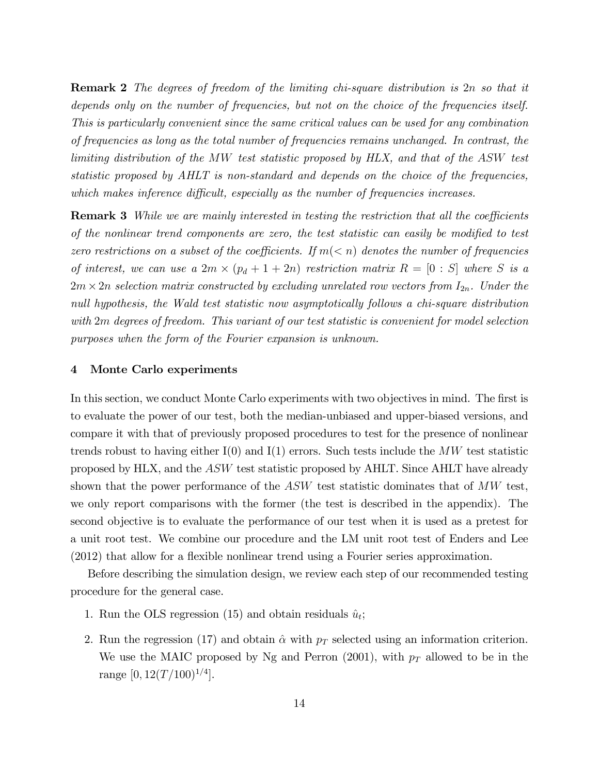Remark 2 The degrees of freedom of the limiting chi-square distribution is 2n so that it depends only on the number of frequencies, but not on the choice of the frequencies itself. This is particularly convenient since the same critical values can be used for any combination of frequencies as long as the total number of frequencies remains unchanged. In contrast, the limiting distribution of the MW test statistic proposed by HLX, and that of the ASW test statistic proposed by AHLT is non-standard and depends on the choice of the frequencies, which makes inference difficult, especially as the number of frequencies increases.

**Remark 3** While we are mainly interested in testing the restriction that all the coefficients of the nonlinear trend components are zero, the test statistic can easily be modified to test zero restrictions on a subset of the coefficients. If  $m(< n)$  denotes the number of frequencies of interest, we can use a  $2m \times (p_d + 1 + 2n)$  restriction matrix  $R = [0 : S]$  where S is a  $2m \times 2n$  selection matrix constructed by excluding unrelated row vectors from  $I_{2n}$ . Under the null hypothesis, the Wald test statistic now asymptotically follows a chi-square distribution with 2m degrees of freedom. This variant of our test statistic is convenient for model selection purposes when the form of the Fourier expansion is unknown.

### 4 Monte Carlo experiments

In this section, we conduct Monte Carlo experiments with two objectives in mind. The first is to evaluate the power of our test, both the median-unbiased and upper-biased versions, and compare it with that of previously proposed procedures to test for the presence of nonlinear trends robust to having either  $I(0)$  and  $I(1)$  errors. Such tests include the MW test statistic proposed by HLX, and the ASW test statistic proposed by AHLT. Since AHLT have already shown that the power performance of the  $ASW$  test statistic dominates that of  $MW$  test, we only report comparisons with the former (the test is described in the appendix). The second objective is to evaluate the performance of our test when it is used as a pretest for a unit root test. We combine our procedure and the LM unit root test of Enders and Lee  $(2012)$  that allow for a flexible nonlinear trend using a Fourier series approximation.

Before describing the simulation design, we review each step of our recommended testing procedure for the general case.

- 1. Run the OLS regression (15) and obtain residuals  $\hat{u}_t$ ;
- 2. Run the regression (17) and obtain  $\hat{\alpha}$  with  $p_T$  selected using an information criterion. We use the MAIC proposed by Ng and Perron (2001), with  $p_T$  allowed to be in the range  $[0, 12(T/100)^{1/4}].$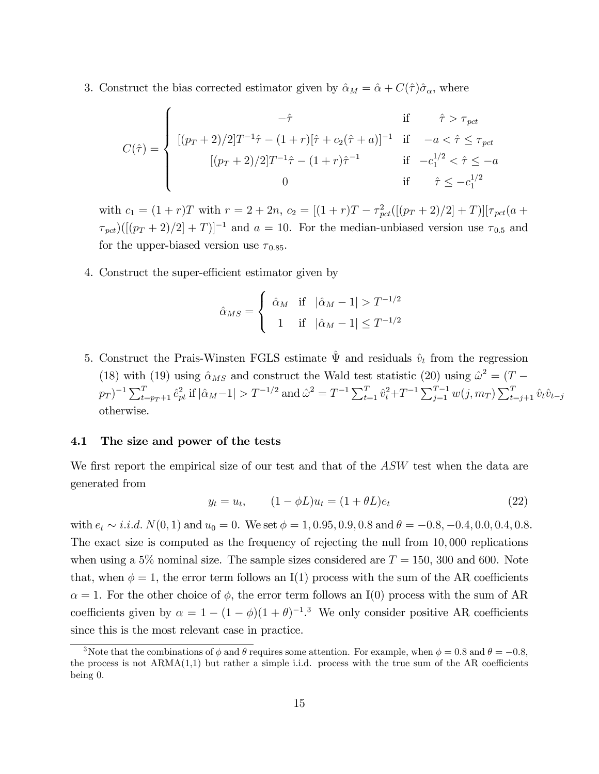3. Construct the bias corrected estimator given by  $\hat{\alpha}_M = \hat{\alpha} + C(\hat{\tau})\hat{\sigma}_{\alpha}$ , where

$$
C(\hat{\tau}) = \begin{cases} \n-\hat{\tau} & \text{if } \hat{\tau} > \tau_{\text{pct}} \\
[(p_T + 2)/2]T^{-1}\hat{\tau} - (1+r)[\hat{\tau} + c_2(\hat{\tau} + a)]^{-1} & \text{if } -a < \hat{\tau} \le \tau_{\text{pct}} \\
[(p_T + 2)/2]T^{-1}\hat{\tau} - (1+r)\hat{\tau}^{-1} & \text{if } -c_1^{1/2} < \hat{\tau} \le -a \\
0 & \text{if } \hat{\tau} \le -c_1^{1/2}\n\end{cases}
$$

with  $c_1 = (1+r)T$  with  $r = 2+2n$ ,  $c_2 = [(1+r)T - \tau_{pot}^2([p_T+2)/2]+T)][\tau_{pot}(a+$  $\tau_{pot}$ )([ $(p_T + 2)/2$ ] + T)]<sup>-1</sup> and a = 10. For the median-unbiased version use  $\tau_{0.5}$  and for the upper-biased version use  $\tau_{0.85}$ .

4. Construct the super-efficient estimator given by

$$
\hat{\alpha}_{MS} = \begin{cases} \begin{array}{c} \hat{\alpha}_M & \text{if} \quad |\hat{\alpha}_M - 1| > T^{-1/2} \\ 1 & \text{if} \quad |\hat{\alpha}_M - 1| \le T^{-1/2} \end{array} \end{cases}
$$

5. Construct the Prais-Winsten FGLS estimate  $\hat{\Psi}$  and residuals  $\hat{v}_t$  from the regression (18) with (19) using  $\hat{\alpha}_{MS}$  and construct the Wald test statistic (20) using  $\hat{\omega}^2 = (T$  $p_T$ )<sup>-1</sup>  $\sum_{t=p_T+1}^T \hat{e}^2_{pt}$  if  $|\hat{\alpha}_M-1| > T^{-1/2}$  and  $\hat{\omega}^2 = T^{-1} \sum_{t=1}^T \hat{v}^2_t + T^{-1} \sum_{j=1}^{T-1} w(j, m_T) \sum_{t=j+1}^T \hat{v}_t \hat{v}_{t-j}$ otherwise.

## 4.1 The size and power of the tests

We first report the empirical size of our test and that of the  $ASW$  test when the data are generated from

$$
y_t = u_t, \t(1 - \phi L)u_t = (1 + \theta L)e_t \t(22)
$$

with  $e_t \sim i.i.d. N(0, 1)$  and  $u_0 = 0$ . We set  $\phi = 1, 0.95, 0.9, 0.8$  and  $\theta = -0.8, -0.4, 0.0, 0.4, 0.8$ . The exact size is computed as the frequency of rejecting the null from 10; 000 replications when using a 5% nominal size. The sample sizes considered are  $T = 150$ , 300 and 600. Note that, when  $\phi = 1$ , the error term follows an I(1) process with the sum of the AR coefficients  $\alpha = 1$ . For the other choice of  $\phi$ , the error term follows an I(0) process with the sum of AR coefficients given by  $\alpha = 1 - (1 - \phi)(1 + \theta)^{-1}$ .<sup>3</sup> We only consider positive AR coefficients since this is the most relevant case in practice.

<sup>&</sup>lt;sup>3</sup>Note that the combinations of  $\phi$  and  $\theta$  requires some attention. For example, when  $\phi = 0.8$  and  $\theta = -0.8$ . the process is not  $ARMA(1,1)$  but rather a simple i.i.d. process with the true sum of the AR coefficients being 0.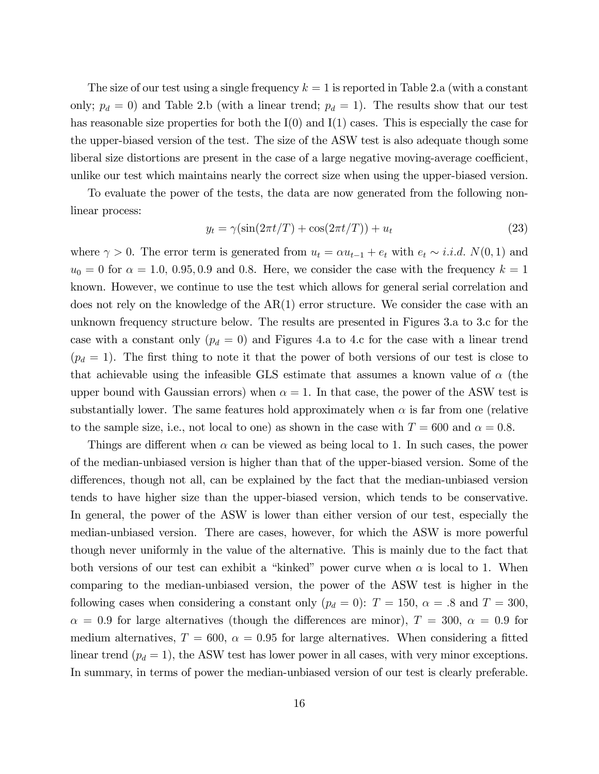The size of our test using a single frequency  $k = 1$  is reported in Table 2.a (with a constant only;  $p_d = 0$ ) and Table 2.b (with a linear trend;  $p_d = 1$ ). The results show that our test has reasonable size properties for both the  $I(0)$  and  $I(1)$  cases. This is especially the case for the upper-biased version of the test. The size of the ASW test is also adequate though some liberal size distortions are present in the case of a large negative moving-average coefficient, unlike our test which maintains nearly the correct size when using the upper-biased version.

To evaluate the power of the tests, the data are now generated from the following nonlinear process:

$$
y_t = \gamma(\sin(2\pi t/T) + \cos(2\pi t/T)) + u_t \tag{23}
$$

where  $\gamma > 0$ . The error term is generated from  $u_t = \alpha u_{t-1} + e_t$  with  $e_t \sim i.i.d. N(0, 1)$  and  $u_0 = 0$  for  $\alpha = 1.0, 0.95, 0.9$  and 0.8. Here, we consider the case with the frequency  $k = 1$ known. However, we continue to use the test which allows for general serial correlation and does not rely on the knowledge of the  $AR(1)$  error structure. We consider the case with an unknown frequency structure below. The results are presented in Figures 3.a to 3.c for the case with a constant only  $(p_d = 0)$  and Figures 4.a to 4.c for the case with a linear trend  $(p_d = 1)$ . The first thing to note it that the power of both versions of our test is close to that achievable using the infeasible GLS estimate that assumes a known value of  $\alpha$  (the upper bound with Gaussian errors) when  $\alpha = 1$ . In that case, the power of the ASW test is substantially lower. The same features hold approximately when  $\alpha$  is far from one (relative to the sample size, i.e., not local to one) as shown in the case with  $T = 600$  and  $\alpha = 0.8$ .

Things are different when  $\alpha$  can be viewed as being local to 1. In such cases, the power of the median-unbiased version is higher than that of the upper-biased version. Some of the differences, though not all, can be explained by the fact that the median-unbiased version tends to have higher size than the upper-biased version, which tends to be conservative. In general, the power of the ASW is lower than either version of our test, especially the median-unbiased version. There are cases, however, for which the ASW is more powerful though never uniformly in the value of the alternative. This is mainly due to the fact that both versions of our test can exhibit a "kinked" power curve when  $\alpha$  is local to 1. When comparing to the median-unbiased version, the power of the ASW test is higher in the following cases when considering a constant only  $(p_d = 0)$ :  $T = 150$ ,  $\alpha = .8$  and  $T = 300$ ,  $\alpha = 0.9$  for large alternatives (though the differences are minor),  $T = 300, \alpha = 0.9$  for medium alternatives,  $T = 600$ ,  $\alpha = 0.95$  for large alternatives. When considering a fitted linear trend  $(p_d = 1)$ , the ASW test has lower power in all cases, with very minor exceptions. In summary, in terms of power the median-unbiased version of our test is clearly preferable.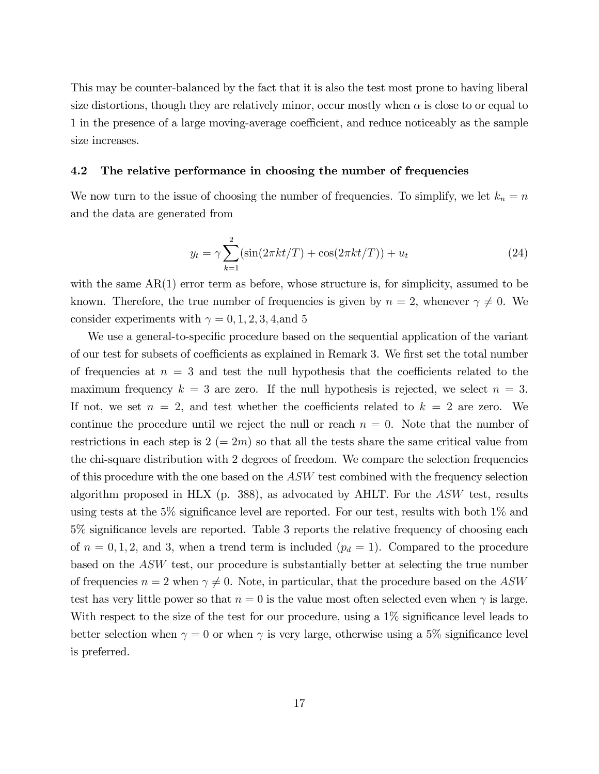This may be counter-balanced by the fact that it is also the test most prone to having liberal size distortions, though they are relatively minor, occur mostly when  $\alpha$  is close to or equal to 1 in the presence of a large moving-average coefficient, and reduce noticeably as the sample size increases.

## 4.2 The relative performance in choosing the number of frequencies

We now turn to the issue of choosing the number of frequencies. To simplify, we let  $k_n = n$ and the data are generated from

$$
y_t = \gamma \sum_{k=1}^{2} (\sin(2\pi kt/T) + \cos(2\pi kt/T)) + u_t
$$
 (24)

with the same  $AR(1)$  error term as before, whose structure is, for simplicity, assumed to be known. Therefore, the true number of frequencies is given by  $n = 2$ , whenever  $\gamma \neq 0$ . We consider experiments with  $\gamma = 0, 1, 2, 3, 4,$  and 5

We use a general-to-specific procedure based on the sequential application of the variant of our test for subsets of coefficients as explained in Remark 3. We first set the total number of frequencies at  $n = 3$  and test the null hypothesis that the coefficients related to the maximum frequency  $k = 3$  are zero. If the null hypothesis is rejected, we select  $n = 3$ . If not, we set  $n = 2$ , and test whether the coefficients related to  $k = 2$  are zero. We continue the procedure until we reject the null or reach  $n = 0$ . Note that the number of restrictions in each step is  $2 (= 2m)$  so that all the tests share the same critical value from the chi-square distribution with 2 degrees of freedom. We compare the selection frequencies of this procedure with the one based on the ASW test combined with the frequency selection algorithm proposed in HLX (p. 388), as advocated by AHLT. For the ASW test, results using tests at the 5% significance level are reported. For our test, results with both  $1\%$  and  $5\%$  significance levels are reported. Table 3 reports the relative frequency of choosing each of  $n = 0, 1, 2$ , and 3, when a trend term is included  $(p_d = 1)$ . Compared to the procedure based on the ASW test, our procedure is substantially better at selecting the true number of frequencies  $n = 2$  when  $\gamma \neq 0$ . Note, in particular, that the procedure based on the ASW test has very little power so that  $n = 0$  is the value most often selected even when  $\gamma$  is large. With respect to the size of the test for our procedure, using a  $1\%$  significance level leads to better selection when  $\gamma = 0$  or when  $\gamma$  is very large, otherwise using a 5% significance level is preferred.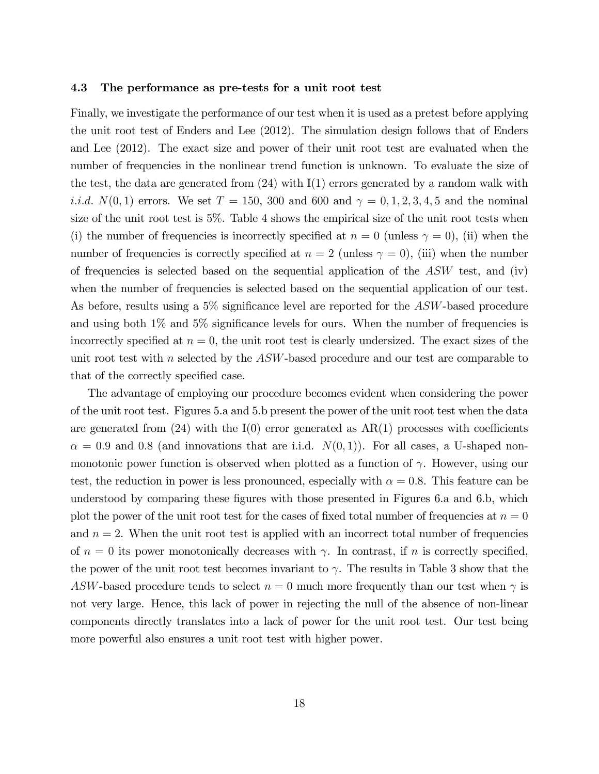#### 4.3 The performance as pre-tests for a unit root test

Finally, we investigate the performance of our test when it is used as a pretest before applying the unit root test of Enders and Lee (2012). The simulation design follows that of Enders and Lee (2012). The exact size and power of their unit root test are evaluated when the number of frequencies in the nonlinear trend function is unknown. To evaluate the size of the test, the data are generated from  $(24)$  with I(1) errors generated by a random walk with *i.i.d.*  $N(0, 1)$  errors. We set  $T = 150$ , 300 and 600 and  $\gamma = 0, 1, 2, 3, 4, 5$  and the nominal size of the unit root test is 5%. Table 4 shows the empirical size of the unit root tests when (i) the number of frequencies is incorrectly specified at  $n = 0$  (unless  $\gamma = 0$ ), (ii) when the number of frequencies is correctly specified at  $n = 2$  (unless  $\gamma = 0$ ), (iii) when the number of frequencies is selected based on the sequential application of the  $ASW$  test, and (iv) when the number of frequencies is selected based on the sequential application of our test. As before, results using a  $5\%$  significance level are reported for the ASW-based procedure and using both  $1\%$  and  $5\%$  significance levels for ours. When the number of frequencies is incorrectly specified at  $n = 0$ , the unit root test is clearly undersized. The exact sizes of the unit root test with n selected by the ASW-based procedure and our test are comparable to that of the correctly specified case.

The advantage of employing our procedure becomes evident when considering the power of the unit root test. Figures 5.a and 5.b present the power of the unit root test when the data are generated from  $(24)$  with the I $(0)$  error generated as AR $(1)$  processes with coefficients  $\alpha = 0.9$  and 0.8 (and innovations that are i.i.d.  $N(0, 1)$ ). For all cases, a U-shaped nonmonotonic power function is observed when plotted as a function of  $\gamma$ . However, using our test, the reduction in power is less pronounced, especially with  $\alpha = 0.8$ . This feature can be understood by comparing these figures with those presented in Figures 6.a and 6.b, which plot the power of the unit root test for the cases of fixed total number of frequencies at  $n = 0$ and  $n = 2$ . When the unit root test is applied with an incorrect total number of frequencies of  $n = 0$  its power monotonically decreases with  $\gamma$ . In contrast, if n is correctly specified, the power of the unit root test becomes invariant to  $\gamma$ . The results in Table 3 show that the ASW-based procedure tends to select  $n = 0$  much more frequently than our test when  $\gamma$  is not very large. Hence, this lack of power in rejecting the null of the absence of non-linear components directly translates into a lack of power for the unit root test. Our test being more powerful also ensures a unit root test with higher power.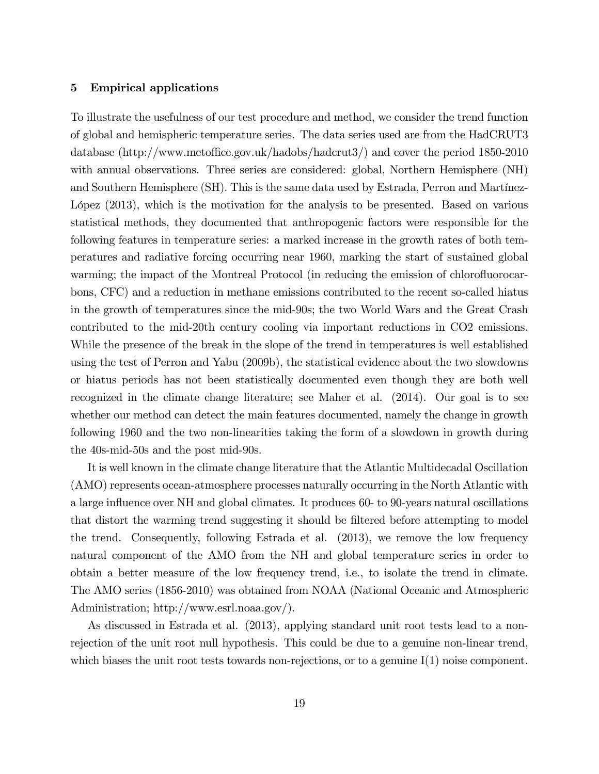## 5 Empirical applications

To illustrate the usefulness of our test procedure and method, we consider the trend function of global and hemispheric temperature series. The data series used are from the HadCRUT3 database (http://www.metoffice.gov.uk/hadobs/hadcrut3/) and cover the period 1850-2010 with annual observations. Three series are considered: global, Northern Hemisphere (NH) and Southern Hemisphere (SH). This is the same data used by Estrada, Perron and Martínez-López (2013), which is the motivation for the analysis to be presented. Based on various statistical methods, they documented that anthropogenic factors were responsible for the following features in temperature series: a marked increase in the growth rates of both temperatures and radiative forcing occurring near 1960, marking the start of sustained global warming; the impact of the Montreal Protocol (in reducing the emission of chlorofluorocarbons, CFC) and a reduction in methane emissions contributed to the recent so-called hiatus in the growth of temperatures since the mid-90s; the two World Wars and the Great Crash contributed to the mid-20th century cooling via important reductions in CO2 emissions. While the presence of the break in the slope of the trend in temperatures is well established using the test of Perron and Yabu (2009b), the statistical evidence about the two slowdowns or hiatus periods has not been statistically documented even though they are both well recognized in the climate change literature; see Maher et al. (2014). Our goal is to see whether our method can detect the main features documented, namely the change in growth following 1960 and the two non-linearities taking the form of a slowdown in growth during the 40s-mid-50s and the post mid-90s.

It is well known in the climate change literature that the Atlantic Multidecadal Oscillation (AMO) represents ocean-atmosphere processes naturally occurring in the North Atlantic with a large influence over NH and global climates. It produces 60- to 90-years natural oscillations that distort the warming trend suggesting it should be filtered before attempting to model the trend. Consequently, following Estrada et al. (2013), we remove the low frequency natural component of the AMO from the NH and global temperature series in order to obtain a better measure of the low frequency trend, i.e., to isolate the trend in climate. The AMO series (1856-2010) was obtained from NOAA (National Oceanic and Atmospheric Administration; http://www.esrl.noaa.gov/).

As discussed in Estrada et al. (2013), applying standard unit root tests lead to a nonrejection of the unit root null hypothesis. This could be due to a genuine non-linear trend, which biases the unit root tests towards non-rejections, or to a genuine  $I(1)$  noise component.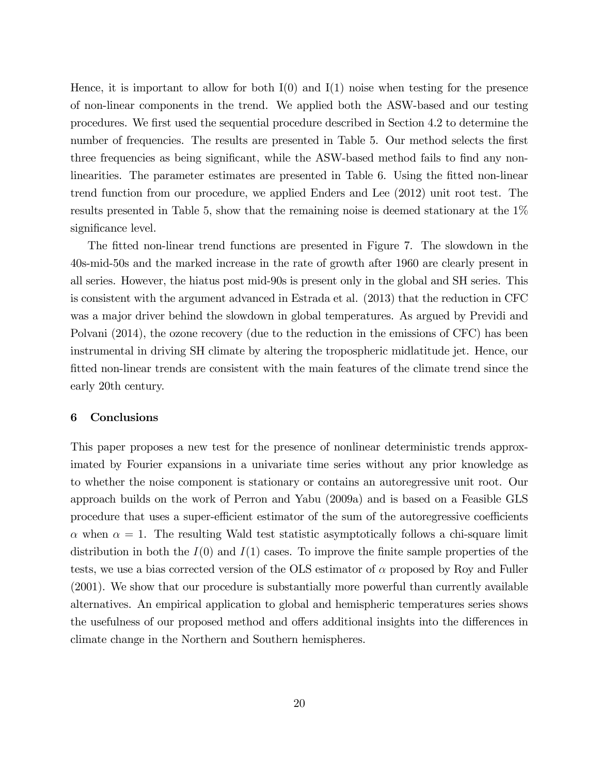Hence, it is important to allow for both  $I(0)$  and  $I(1)$  noise when testing for the presence of non-linear components in the trend. We applied both the ASW-based and our testing procedures. We first used the sequential procedure described in Section 4.2 to determine the number of frequencies. The results are presented in Table 5. Our method selects the first three frequencies as being significant, while the ASW-based method fails to find any nonlinearities. The parameter estimates are presented in Table 6. Using the fitted non-linear trend function from our procedure, we applied Enders and Lee (2012) unit root test. The results presented in Table 5, show that the remaining noise is deemed stationary at the 1% significance level.

The fitted non-linear trend functions are presented in Figure 7. The slowdown in the 40s-mid-50s and the marked increase in the rate of growth after 1960 are clearly present in all series. However, the hiatus post mid-90s is present only in the global and SH series. This is consistent with the argument advanced in Estrada et al. (2013) that the reduction in CFC was a major driver behind the slowdown in global temperatures. As argued by Previdi and Polvani (2014), the ozone recovery (due to the reduction in the emissions of CFC) has been instrumental in driving SH climate by altering the tropospheric midlatitude jet. Hence, our fitted non-linear trends are consistent with the main features of the climate trend since the early 20th century.

### 6 Conclusions

This paper proposes a new test for the presence of nonlinear deterministic trends approximated by Fourier expansions in a univariate time series without any prior knowledge as to whether the noise component is stationary or contains an autoregressive unit root. Our approach builds on the work of Perron and Yabu (2009a) and is based on a Feasible GLS procedure that uses a super-efficient estimator of the sum of the autoregressive coefficients  $\alpha$  when  $\alpha = 1$ . The resulting Wald test statistic asymptotically follows a chi-square limit distribution in both the  $I(0)$  and  $I(1)$  cases. To improve the finite sample properties of the tests, we use a bias corrected version of the OLS estimator of  $\alpha$  proposed by Roy and Fuller (2001). We show that our procedure is substantially more powerful than currently available alternatives. An empirical application to global and hemispheric temperatures series shows the usefulness of our proposed method and offers additional insights into the differences in climate change in the Northern and Southern hemispheres.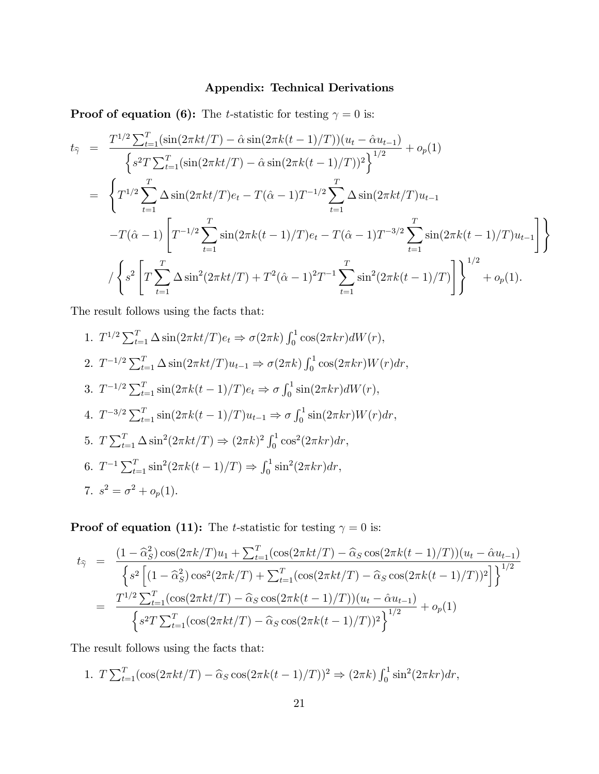## Appendix: Technical Derivations

**Proof of equation (6):** The *t*-statistic for testing  $\gamma = 0$  is:

$$
t_{\hat{\gamma}} = \frac{T^{1/2} \sum_{t=1}^{T} (\sin(2\pi kt/T) - \hat{\alpha} \sin(2\pi k(t-1)/T)) (u_t - \hat{\alpha} u_{t-1})}{\left\{ s^2 T \sum_{t=1}^{T} (\sin(2\pi kt/T) - \hat{\alpha} \sin(2\pi k(t-1)/T))^2 \right\}^{1/2}} + o_p(1)
$$
  
\n
$$
= \left\{ T^{1/2} \sum_{t=1}^{T} \Delta \sin(2\pi kt/T) e_t - T(\hat{\alpha} - 1) T^{-1/2} \sum_{t=1}^{T} \Delta \sin(2\pi kt/T) u_{t-1} - T(\hat{\alpha} - 1) \left[ T^{-1/2} \sum_{t=1}^{T} \sin(2\pi k(t-1)/T) e_t - T(\hat{\alpha} - 1) T^{-3/2} \sum_{t=1}^{T} \sin(2\pi k(t-1)/T) u_{t-1} \right] \right\}
$$
  
\n
$$
/ \left\{ s^2 \left[ T \sum_{t=1}^{T} \Delta \sin^2(2\pi kt/T) + T^2(\hat{\alpha} - 1)^2 T^{-1} \sum_{t=1}^{T} \sin^2(2\pi k(t-1)/T) \right] \right\}^{1/2} + o_p(1).
$$

The result follows using the facts that:

1. 
$$
T^{1/2} \sum_{t=1}^{T} \Delta \sin(2\pi kt/T) e_t \Rightarrow \sigma(2\pi k) \int_0^1 \cos(2\pi kr) dW(r)
$$
,  
\n2.  $T^{-1/2} \sum_{t=1}^{T} \Delta \sin(2\pi kt/T) u_{t-1} \Rightarrow \sigma(2\pi k) \int_0^1 \cos(2\pi kr) W(r) dr$ ,  
\n3.  $T^{-1/2} \sum_{t=1}^{T} \sin(2\pi k(t-1)/T) e_t \Rightarrow \sigma \int_0^1 \sin(2\pi kr) dW(r)$ ,  
\n4.  $T^{-3/2} \sum_{t=1}^{T} \sin(2\pi k(t-1)/T) u_{t-1} \Rightarrow \sigma \int_0^1 \sin(2\pi kr) W(r) dr$ ,  
\n5.  $T \sum_{t=1}^{T} \Delta \sin^2(2\pi kt/T) \Rightarrow (2\pi k)^2 \int_0^1 \cos^2(2\pi kr) dr$ ,  
\n6.  $T^{-1} \sum_{t=1}^{T} \sin^2(2\pi k(t-1)/T) \Rightarrow \int_0^1 \sin^2(2\pi kr) dr$ ,  
\n7.  $s^2 = \sigma^2 + o_p(1)$ .

**Proof of equation (11):** The *t*-statistic for testing  $\gamma = 0$  is:

$$
t_{\hat{\gamma}} = \frac{(1 - \hat{\alpha}_{S}^{2}) \cos(2\pi k/T) u_{1} + \sum_{t=1}^{T} (\cos(2\pi kt/T) - \hat{\alpha}_{S} \cos(2\pi k(t-1)/T)) (u_{t} - \hat{\alpha} u_{t-1})}{\left\{s^{2} \left[(1 - \hat{\alpha}_{S}^{2}) \cos^{2}(2\pi k/T) + \sum_{t=1}^{T} (\cos(2\pi kt/T) - \hat{\alpha}_{S} \cos(2\pi k(t-1)/T))^{2}\right]\right\}^{1/2}}
$$

$$
= \frac{T^{1/2} \sum_{t=1}^{T} (\cos(2\pi kt/T) - \hat{\alpha}_{S} \cos(2\pi k(t-1)/T)) (u_{t} - \hat{\alpha} u_{t-1})}{\left\{s^{2} T \sum_{t=1}^{T} (\cos(2\pi kt/T) - \hat{\alpha}_{S} \cos(2\pi k(t-1)/T))^{2}\right\}^{1/2}} + o_{p}(1)
$$

The result follows using the facts that:

1. 
$$
T \sum_{t=1}^{T} (\cos(2\pi kt/T) - \hat{\alpha}_S \cos(2\pi k(t-1)/T))^2 \Rightarrow (2\pi k) \int_0^1 \sin^2(2\pi kr) dr
$$
,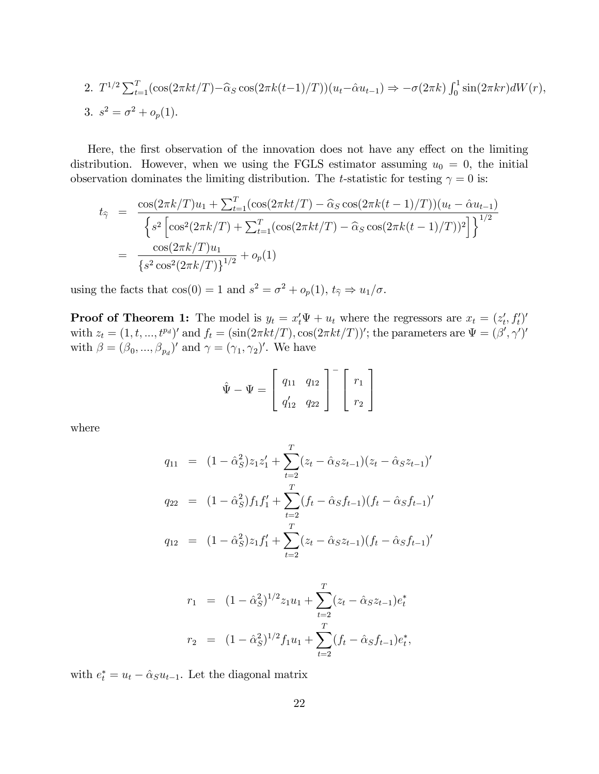2. 
$$
T^{1/2} \sum_{t=1}^{T} (\cos(2\pi kt/T) - \hat{\alpha}_S \cos(2\pi k(t-1)/T)) (u_t - \hat{\alpha}u_{t-1}) \Rightarrow -\sigma(2\pi k) \int_0^1 \sin(2\pi kr) dW(r),
$$
  
\n3.  $s^2 = \sigma^2 + o_p(1).$ 

Here, the first observation of the innovation does not have any effect on the limiting distribution. However, when we using the FGLS estimator assuming  $u_0 = 0$ , the initial observation dominates the limiting distribution. The *t*-statistic for testing  $\gamma = 0$  is:

$$
t_{\hat{\gamma}} = \frac{\cos(2\pi k/T)u_1 + \sum_{t=1}^T (\cos(2\pi kt/T) - \hat{\alpha}_S \cos(2\pi k(t-1)/T))(u_t - \hat{\alpha}u_{t-1})}{\left\{s^2 \left[\cos^2(2\pi k/T) + \sum_{t=1}^T (\cos(2\pi kt/T) - \hat{\alpha}_S \cos(2\pi k(t-1)/T))^2\right]\right\}^{1/2}}
$$
  
= 
$$
\frac{\cos(2\pi k/T)u_1}{\left\{s^2 \cos^2(2\pi k/T)\right\}^{1/2}} + o_p(1)
$$

using the facts that  $cos(0) = 1$  and  $s^2 = \sigma^2 + o_p(1)$ ,  $t_{\hat{\gamma}} \Rightarrow u_1/\sigma$ .

**Proof of Theorem 1:** The model is  $y_t = x'_t \Psi + u_t$  where the regressors are  $x_t = (z'_t, f'_t)'$ with  $z_t = (1, t, ..., t^{p_d})'$  and  $f_t = (\sin(2\pi kt/T), \cos(2\pi kt/T))'$ ; the parameters are  $\Psi = (\beta', \gamma')'$ with  $\beta = (\beta_0, ..., \beta_{p_d})'$  and  $\gamma = (\gamma_1, \gamma_2)'$ . We have

$$
\hat{\Psi} - \Psi = \begin{bmatrix} q_{11} & q_{12} \\ q'_{12} & q_{22} \end{bmatrix}^{-1} \begin{bmatrix} r_1 \\ r_2 \end{bmatrix}
$$

where

$$
q_{11} = (1 - \hat{\alpha}_S^2) z_1 z_1' + \sum_{t=2}^T (z_t - \hat{\alpha}_S z_{t-1}) (z_t - \hat{\alpha}_S z_{t-1})'
$$
  
\n
$$
q_{22} = (1 - \hat{\alpha}_S^2) f_1 f_1' + \sum_{t=2}^T (f_t - \hat{\alpha}_S f_{t-1}) (f_t - \hat{\alpha}_S f_{t-1})'
$$
  
\n
$$
q_{12} = (1 - \hat{\alpha}_S^2) z_1 f_1' + \sum_{t=2}^T (z_t - \hat{\alpha}_S z_{t-1}) (f_t - \hat{\alpha}_S f_{t-1})'
$$

$$
r_1 = (1 - \hat{\alpha}_S^2)^{1/2} z_1 u_1 + \sum_{t=2}^T (z_t - \hat{\alpha}_S z_{t-1}) e_t^*
$$
  

$$
r_2 = (1 - \hat{\alpha}_S^2)^{1/2} f_1 u_1 + \sum_{t=2}^T (f_t - \hat{\alpha}_S f_{t-1}) e_t^*,
$$

with  $e_t^* = u_t - \hat{\alpha}_S u_{t-1}$ . Let the diagonal matrix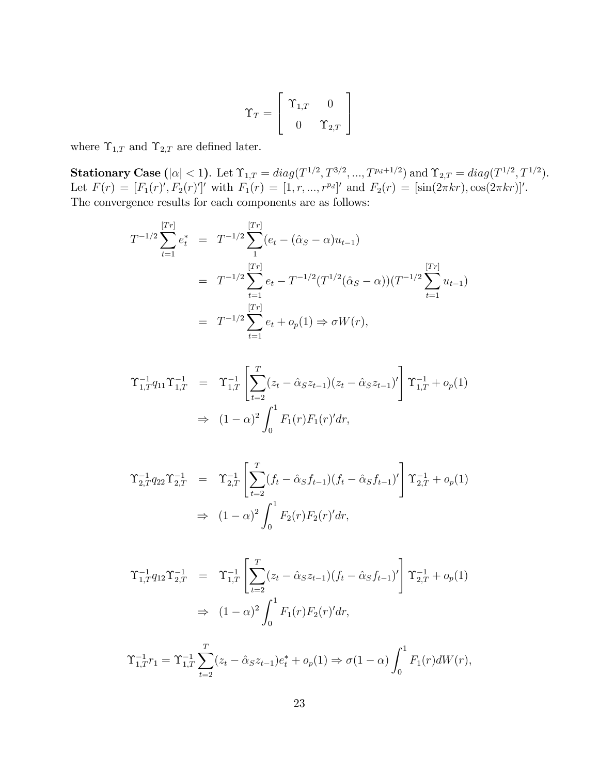$$
\Upsilon_T = \left[ \begin{array}{cc} \Upsilon_{1,T} & 0 \\ 0 & \Upsilon_{2,T} \end{array} \right]
$$

where  $\Upsilon_{1,T}$  and  $\Upsilon_{2,T}$  are defined later.

**Stationary Case** ( $|\alpha| < 1$ ). Let  $\Upsilon_{1,T} = diag(T^{1/2}, T^{3/2}, ..., T^{p_d+1/2})$  and  $\Upsilon_{2,T} = diag(T^{1/2}, T^{1/2})$ . Let  $F(r) = [F_1(r)^\prime, F_2(r)^\prime]^\prime$  with  $F_1(r) = [1, r, ..., r^{pq}]^\prime$  and  $F_2(r) = [\sin(2\pi kr), \cos(2\pi kr)]^\prime$ . The convergence results for each components are as follows:

$$
T^{-1/2} \sum_{t=1}^{[Tr]} e_t^* = T^{-1/2} \sum_{1}^{[Tr]} (e_t - (\hat{\alpha}_S - \alpha) u_{t-1})
$$
  
= 
$$
T^{-1/2} \sum_{t=1}^{[Tr]} e_t - T^{-1/2} (T^{1/2} (\hat{\alpha}_S - \alpha)) (T^{-1/2} \sum_{t=1}^{[Tr]} u_{t-1})
$$
  
= 
$$
T^{-1/2} \sum_{t=1}^{[Tr]} e_t + o_p(1) \Rightarrow \sigma W(r),
$$

$$
\begin{aligned}\n\Upsilon_{1,T}^{-1}q_{11}\Upsilon_{1,T}^{-1} &= \Upsilon_{1,T}^{-1} \left[ \sum_{t=2}^{T} (z_t - \hat{\alpha}_S z_{t-1}) (z_t - \hat{\alpha}_S z_{t-1})' \right] \Upsilon_{1,T}^{-1} + o_p(1) \\
&\Rightarrow (1-\alpha)^2 \int_0^1 F_1(r) F_1(r)' dr,\n\end{aligned}
$$

$$
\begin{aligned}\n\Upsilon_{2,T}^{-1} q_{22} \Upsilon_{2,T}^{-1} &= \Upsilon_{2,T}^{-1} \left[ \sum_{t=2}^{T} (f_t - \hat{\alpha}_S f_{t-1}) (f_t - \hat{\alpha}_S f_{t-1})' \right] \Upsilon_{2,T}^{-1} + o_p(1) \\
&\Rightarrow (1-\alpha)^2 \int_0^1 F_2(r) F_2(r)' dr,\n\end{aligned}
$$

$$
\begin{aligned}\n\Upsilon_{1,T}^{-1}q_{12}\Upsilon_{2,T}^{-1} &= \Upsilon_{1,T}^{-1} \left[ \sum_{t=2}^{T} (z_t - \hat{\alpha}_S z_{t-1}) (f_t - \hat{\alpha}_S f_{t-1})' \right] \Upsilon_{2,T}^{-1} + o_p(1) \\
&\Rightarrow (1-\alpha)^2 \int_0^1 F_1(r) F_2(r)' dr,\n\end{aligned}
$$

$$
\Upsilon_{1,T}^{-1}r_1 = \Upsilon_{1,T}^{-1} \sum_{t=2}^{T} (z_t - \hat{\alpha}_S z_{t-1}) e_t^* + o_p(1) \Rightarrow \sigma(1-\alpha) \int_0^1 F_1(r) dW(r),
$$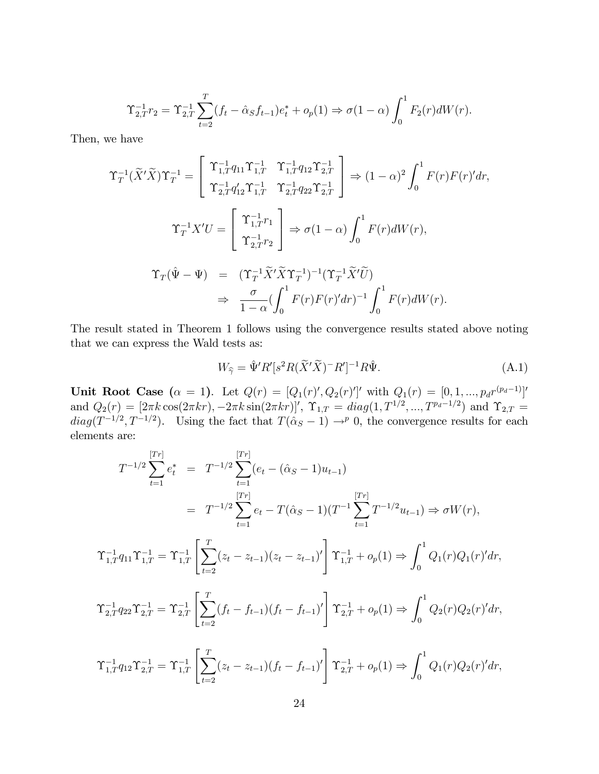$$
\Upsilon_{2,T}^{-1}r_2 = \Upsilon_{2,T}^{-1} \sum_{t=2}^{T} (f_t - \hat{\alpha}_S f_{t-1}) e_t^* + o_p(1) \Rightarrow \sigma(1-\alpha) \int_0^1 F_2(r) dW(r).
$$

Then, we have

$$
\begin{split} \Upsilon_T^{-1}(\widetilde{X}'\widetilde{X})\Upsilon_T^{-1} &= \left[ \begin{array}{cc} \Upsilon_{1,T}^{-1}q_{11}\Upsilon_{1,T}^{-1} & \Upsilon_{1,T}^{-1}q_{12}\Upsilon_{2,T}^{-1} \\ \Upsilon_{2,T}^{-1}q_{12}'\Upsilon_{1,T}^{-1} & \Upsilon_{2,T}^{-1}q_{22}\Upsilon_{2,T}^{-1} \end{array} \right] \Rightarrow (1-\alpha)^2 \int_0^1 F(r)F(r)'dr, \\ \Upsilon_T^{-1}X'U &= \left[ \begin{array}{c} \Upsilon_{1,T}^{-1}r_1 \\ \Upsilon_{2,T}^{-1}r_2 \end{array} \right] \Rightarrow \sigma(1-\alpha) \int_0^1 F(r)dW(r), \\ \Upsilon_T(\hat{\Psi} - \Psi) &= \begin{array}{c} (\Upsilon_T^{-1}\widetilde{X}'\widetilde{X}\Upsilon_T^{-1})^{-1}(\Upsilon_T^{-1}\widetilde{X}'\widetilde{U}) \\ 1-\alpha(\int_0^1 F(r)F(r)'dr)^{-1} \int_0^1 F(r)dW(r). \end{array} \end{split}
$$

The result stated in Theorem 1 follows using the convergence results stated above noting that we can express the Wald tests as:

$$
W_{\widehat{\gamma}} = \widehat{\Psi}' R'[s^2 R(\widetilde{X}'\widetilde{X})^- R']^{-1} R \widehat{\Psi}.
$$
\n(A.1)

 $\mathbf{0}$ 

Unit Root Case  $(\alpha = 1)$ . Let  $Q(r) = [Q_1(r)', Q_2(r)']'$  with  $Q_1(r) = [0, 1, ..., p_d r^{(p_d-1)}]'$ and  $Q_2(r) = [2\pi k \cos(2\pi kr), -2\pi k \sin(2\pi kr)]'$ ,  $\Upsilon_{1,T} = diag(1, T^{1/2}, ..., T^{p_d-1/2})$  and  $\Upsilon_{2,T} =$  $diag(T^{-1/2}, T^{-1/2})$ . Using the fact that  $T(\hat{\alpha}_S - 1) \rightarrow^p 0$ , the convergence results for each elements are:

$$
T^{-1/2} \sum_{t=1}^{\lfloor Tr \rfloor} e_t^* = T^{-1/2} \sum_{t=1}^{\lfloor Tr \rfloor} (e_t - (\hat{\alpha}_S - 1)u_{t-1})
$$
  
\n
$$
= T^{-1/2} \sum_{t=1}^{\lfloor Tr \rfloor} e_t - T(\hat{\alpha}_S - 1)(T^{-1} \sum_{t=1}^{\lfloor Tr \rfloor} T^{-1/2} u_{t-1}) \Rightarrow \sigma W(r),
$$
  
\n
$$
\Upsilon_{1,T}^{-1} q_{11} \Upsilon_{1,T}^{-1} = \Upsilon_{1,T}^{-1} \left[ \sum_{t=2}^{T} (z_t - z_{t-1})(z_t - z_{t-1})' \right] \Upsilon_{1,T}^{-1} + o_p(1) \Rightarrow \int_0^1 Q_1(r) Q_1(r)' dr,
$$
  
\n
$$
\Upsilon_{2,T}^{-1} q_{22} \Upsilon_{2,T}^{-1} = \Upsilon_{2,T}^{-1} \left[ \sum_{t=2}^{T} (f_t - f_{t-1})(f_t - f_{t-1})' \right] \Upsilon_{2,T}^{-1} + o_p(1) \Rightarrow \int_0^1 Q_2(r) Q_2(r)' dr,
$$
  
\n
$$
\Upsilon_{1,T}^{-1} q_{12} \Upsilon_{2,T}^{-1} = \Upsilon_{1,T}^{-1} \left[ \sum_{t=2}^{T} (z_t - z_{t-1})(f_t - f_{t-1})' \right] \Upsilon_{2,T}^{-1} + o_p(1) \Rightarrow \int_0^1 Q_1(r) Q_2(r)' dr,
$$

 $_{t=2}$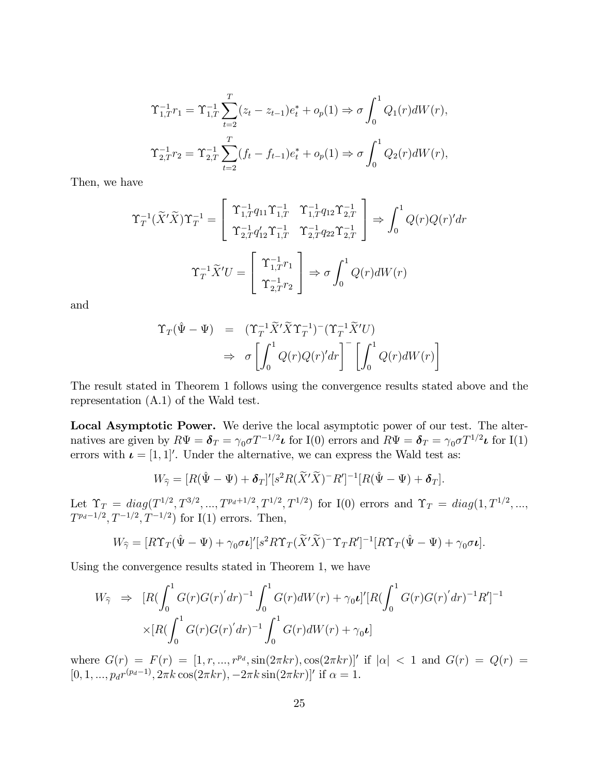$$
\Upsilon_{1,T}^{-1}r_1 = \Upsilon_{1,T}^{-1} \sum_{t=2}^{T} (z_t - z_{t-1})e_t^* + o_p(1) \Rightarrow \sigma \int_0^1 Q_1(r)dW(r),
$$
  

$$
\Upsilon_{2,T}^{-1}r_2 = \Upsilon_{2,T}^{-1} \sum_{t=2}^{T} (f_t - f_{t-1})e_t^* + o_p(1) \Rightarrow \sigma \int_0^1 Q_2(r)dW(r),
$$

Then, we have

$$
\Upsilon_T^{-1}(\widetilde{X}'\widetilde{X})\Upsilon_T^{-1} = \begin{bmatrix} \Upsilon_{1,T}^{-1}q_{11}\Upsilon_{1,T}^{-1} & \Upsilon_{1,T}^{-1}q_{12}\Upsilon_{2,T}^{-1} \\ \Upsilon_{2,T}^{-1}q_{12}'\Upsilon_{1,T}^{-1} & \Upsilon_{2,T}^{-1}q_{22}\Upsilon_{2,T}^{-1} \end{bmatrix} \Rightarrow \int_0^1 Q(r)Q(r)'dr
$$

$$
\Upsilon_T^{-1}\widetilde{X}'U = \begin{bmatrix} \Upsilon_{1,T}^{-1}r_1 \\ \Upsilon_{2,T}^{-1}r_2 \end{bmatrix} \Rightarrow \sigma \int_0^1 Q(r)dW(r)
$$

and

$$
\begin{aligned}\n\Upsilon_T(\hat{\Psi} - \Psi) &= (\Upsilon_T^{-1} \widetilde{X}' \widetilde{X} \Upsilon_T^{-1})^-(\Upsilon_T^{-1} \widetilde{X}' U) \\
&\Rightarrow \sigma \left[ \int_0^1 Q(r) Q(r)' dr \right]^- \left[ \int_0^1 Q(r) dW(r) \right]\n\end{aligned}
$$

The result stated in Theorem 1 follows using the convergence results stated above and the representation (A.1) of the Wald test.

Local Asymptotic Power. We derive the local asymptotic power of our test. The alternatives are given by  $R\Psi = \pmb{\delta}_T = \gamma_0 \sigma T^{-1/2} \pmb{\iota}$  for I(0) errors and  $R\Psi = \pmb{\delta}_T = \gamma_0 \sigma T^{1/2} \pmb{\iota}$  for I(1) errors with  $\boldsymbol{\iota} = [1, 1]'.$  Under the alternative, we can express the Wald test as:

$$
W_{\widehat{\gamma}}=[R(\hat{\Psi}-\Psi)+\boldsymbol{\delta}_T]^\prime[s^2R(\widetilde{X}^\prime\widetilde{X})^-R^\prime]^{-1}[R(\hat{\Psi}-\Psi)+\boldsymbol{\delta}_T].
$$

Let  $\Upsilon_T = diag(T^{1/2}, T^{3/2}, ..., T^{p_d+1/2}, T^{1/2}, T^{1/2})$  for I(0) errors and  $\Upsilon_T = diag(1, T^{1/2}, ...,$  $T^{p_d-1/2}, T^{-1/2}, T^{-1/2})$  for I(1) errors. Then,

$$
W_{\hat{\gamma}} = [R\Upsilon_T(\hat{\Psi} - \Psi) + \gamma_0 \sigma \iota]' [s^2 R \Upsilon_T(\widetilde{X}'\widetilde{X})^- \Upsilon_T R']^{-1} [R\Upsilon_T(\hat{\Psi} - \Psi) + \gamma_0 \sigma \iota].
$$

Using the convergence results stated in Theorem 1, we have

$$
W_{\hat{\gamma}} \Rightarrow [R(\int_0^1 G(r)G(r)'dr)^{-1} \int_0^1 G(r)dW(r) + \gamma_0 \nu]' [R(\int_0^1 G(r)G(r)'dr)^{-1}R']^{-1}
$$
  
 
$$
\times [R(\int_0^1 G(r)G(r)'dr)^{-1} \int_0^1 G(r)dW(r) + \gamma_0 \nu]
$$

where  $G(r) = F(r) = [1, r, ..., r^{p_d}, \sin(2\pi kr), \cos(2\pi kr)]'$  if  $|\alpha| < 1$  and  $G(r) = Q(r) =$  $[0, 1, ..., p_d r^{(p_d-1)}, 2\pi k \cos(2\pi kr), -2\pi k \sin(2\pi kr)]'$  if  $\alpha = 1$ .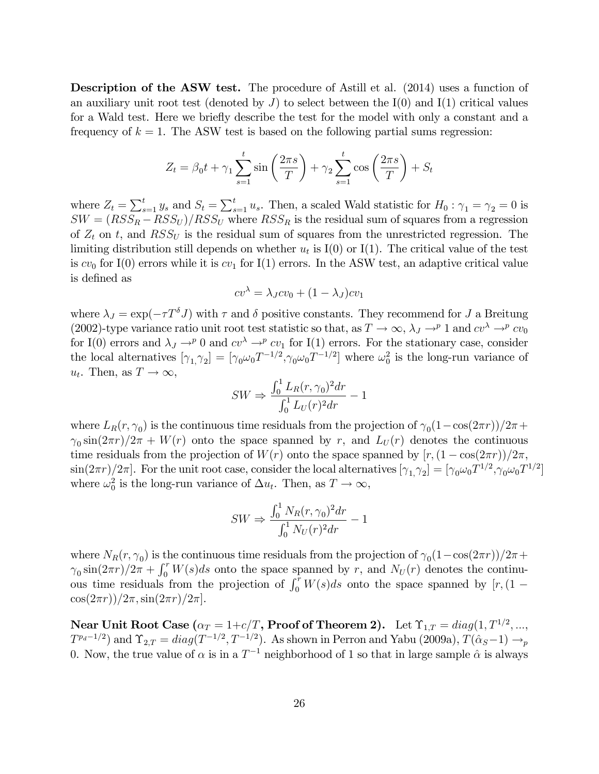Description of the ASW test. The procedure of Astill et al. (2014) uses a function of an auxiliary unit root test (denoted by  $J$ ) to select between the I(0) and I(1) critical values for a Wald test. Here we brie‡y describe the test for the model with only a constant and a frequency of  $k = 1$ . The ASW test is based on the following partial sums regression:

$$
Z_t = \beta_0 t + \gamma_1 \sum_{s=1}^t \sin\left(\frac{2\pi s}{T}\right) + \gamma_2 \sum_{s=1}^t \cos\left(\frac{2\pi s}{T}\right) + S_t
$$

where  $Z_t = \sum_{s=1}^t y_s$  and  $S_t = \sum_{s=1}^t u_s$ . Then, a scaled Wald statistic for  $H_0: \gamma_1 = \gamma_2 = 0$  is  $SW = (RSS_R - RSS_U) / RSS_U$  where  $RSS_R$  is the residual sum of squares from a regression of  $Z_t$  on t, and  $RSS_U$  is the residual sum of squares from the unrestricted regression. The limiting distribution still depends on whether  $u_t$  is I(0) or I(1). The critical value of the test is  $cv_0$  for I(0) errors while it is  $cv_1$  for I(1) errors. In the ASW test, an adaptive critical value is defined as

$$
cv^{\lambda} = \lambda_J cv_0 + (1 - \lambda_J)cv_1
$$

where  $\lambda_J = \exp(-\tau T^{\delta} J)$  with  $\tau$  and  $\delta$  positive constants. They recommend for J a Breitung (2002)-type variance ratio unit root test statistic so that, as  $T \to \infty$ ,  $\lambda_J \to^p 1$  and  $cv^{\lambda} \to^p cv_0$ for I(0) errors and  $\lambda_J \rightarrow^p 0$  and  $cv^{\lambda} \rightarrow^p cv_1$  for I(1) errors. For the stationary case, consider the local alternatives  $[\gamma_1, \gamma_2] = [\gamma_0 \omega_0 T^{-1/2}, \gamma_0 \omega_0 T^{-1/2}]$  where  $\omega_0^2$  is the long-run variance of  $u_t$ . Then, as  $T \to \infty$ ,

$$
SW \Rightarrow \frac{\int_0^1 L_R(r, \gamma_0)^2 dr}{\int_0^1 L_U(r)^2 dr} - 1
$$

where  $L_R(r, \gamma_0)$  is the continuous time residuals from the projection of  $\gamma_0(1-\cos(2\pi r))/2\pi$  +  $\gamma_0 \sin(2\pi r)/2\pi + W(r)$  onto the space spanned by r, and  $L_U(r)$  denotes the continuous time residuals from the projection of  $W(r)$  onto the space spanned by  $[r,(1-\cos(2\pi r))/2\pi,$  $\sin(2\pi r)/2\pi$ . For the unit root case, consider the local alternatives  $[\gamma_1,\gamma_2] = [\gamma_0\omega_0T^{1/2},\gamma_0\omega_0T^{1/2}]$ where  $\omega_0^2$  is the long-run variance of  $\Delta u_t$ . Then, as  $T \to \infty$ ,

$$
SW \Rightarrow \frac{\int_0^1 N_R(r, \gamma_0)^2 dr}{\int_0^1 N_U(r)^2 dr} - 1
$$

where  $N_R(r, \gamma_0)$  is the continuous time residuals from the projection of  $\gamma_0(1-\cos(2\pi r))/2\pi +$  $\gamma_0 \sin(2\pi r)/2\pi + \int_0^r W(s)ds$  onto the space spanned by r, and  $N_U(r)$  denotes the continuous time residuals from the projection of  $\int_0^r W(s)ds$  onto the space spanned by  $[r,(1 \cos(2\pi r)/2\pi$ ,  $\sin(2\pi r)/2\pi$ .

 ${\bf Near Unit~Root~Case}$   $(\alpha_T=1\!+\!c/T,{\bf Proof~of~Theorem~2}).\ \ \ \textrm{Let} \ \Upsilon_{1,T}=diag(1,T^{1/2},...,\ \ \Upsilon_{1,T}=\alpha_T^{1/2},\dots,\ \Upsilon_{1,T}^{1/2})$  $T^{p_d-1/2}$  and  $\Upsilon_{2,T} = diag(T^{-1/2}, T^{-1/2})$ . As shown in Perron and Yabu (2009a),  $T(\hat{\alpha}_S-1) \rightarrow_p$ 0. Now, the true value of  $\alpha$  is in a  $T^{-1}$  neighborhood of 1 so that in large sample  $\hat{\alpha}$  is always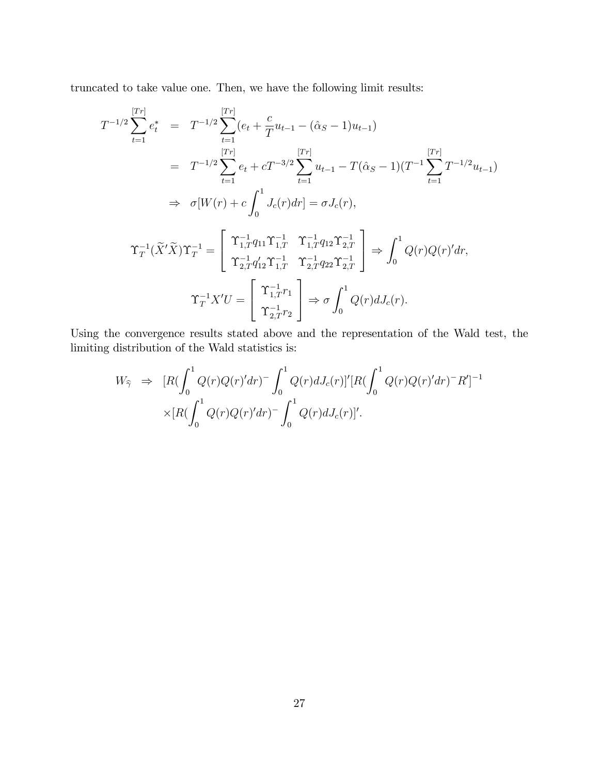truncated to take value one. Then, we have the following limit results:

$$
T^{-1/2} \sum_{t=1}^{\lfloor Tr \rfloor} e_t^* = T^{-1/2} \sum_{t=1}^{\lfloor Tr \rfloor} (e_t + \frac{c}{T} u_{t-1} - (\hat{\alpha}_S - 1) u_{t-1})
$$
  
\n
$$
= T^{-1/2} \sum_{t=1}^{\lfloor Tr \rfloor} e_t + cT^{-3/2} \sum_{t=1}^{\lfloor Tr \rfloor} u_{t-1} - T(\hat{\alpha}_S - 1)(T^{-1} \sum_{t=1}^{\lfloor Tr \rfloor} T^{-1/2} u_{t-1})
$$
  
\n
$$
\Rightarrow \sigma[W(r) + c \int_0^1 J_c(r) dr] = \sigma J_c(r),
$$
  
\n
$$
\Upsilon_T^{-1}(\tilde{X}'\tilde{X}) \Upsilon_T^{-1} = \begin{bmatrix} \Upsilon_{1,T}^{-1} q_{11} \Upsilon_{1,T}^{-1} & \Upsilon_{1,T}^{-1} q_{12} \Upsilon_{2,T}^{-1} \\ \Upsilon_{2,T}^{-1} q_{12}' \Upsilon_{1,T}^{-1} & \Upsilon_{2,T}^{-1} q_{22} \Upsilon_{2,T}^{-1} \end{bmatrix} \Rightarrow \int_0^1 Q(r) Q(r)' dr,
$$
  
\n
$$
\Upsilon_T^{-1} X' U = \begin{bmatrix} \Upsilon_{1,T}^{-1} r_1 \\ \Upsilon_{2,T}^{-1} r_2 \end{bmatrix} \Rightarrow \sigma \int_0^1 Q(r) dJ_c(r).
$$

Using the convergence results stated above and the representation of the Wald test, the limiting distribution of the Wald statistics is:

$$
W_{\hat{\gamma}} \Rightarrow [R(\int_0^1 Q(r)Q(r)'dr) - \int_0^1 Q(r)dJ_c(r)]'[R(\int_0^1 Q(r)Q(r)'dr) - R']^{-1}
$$
  
 
$$
\times [R(\int_0^1 Q(r)Q(r)'dr) - \int_0^1 Q(r)dJ_c(r)]'.
$$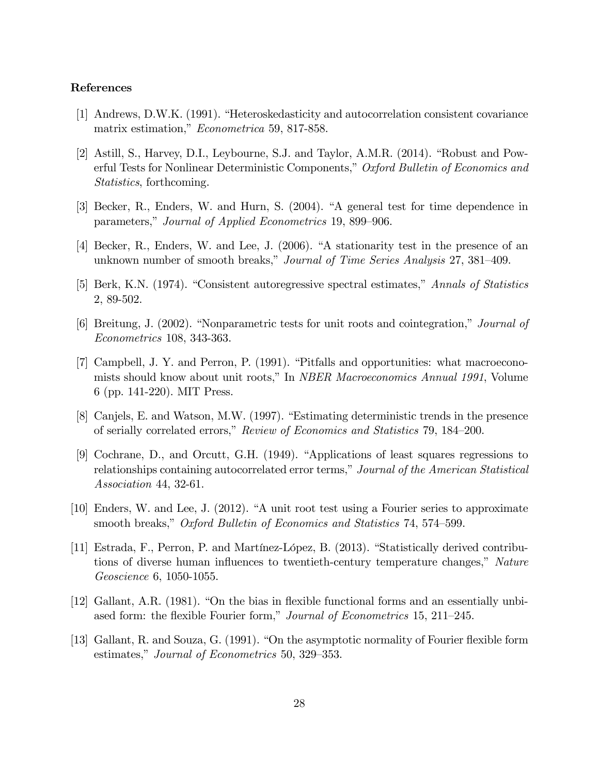## References

- [1] Andrews, D.W.K. (1991). "Heteroskedasticity and autocorrelation consistent covariance matrix estimation," *Econometrica* 59, 817-858.
- [2] Astill, S., Harvey, D.I., Leybourne, S.J. and Taylor, A.M.R. (2014). "Robust and Powerful Tests for Nonlinear Deterministic Components," Oxford Bulletin of Economics and Statistics, forthcoming.
- [3] Becker, R., Enders, W. and Hurn, S. (2004). "A general test for time dependence in parameters," Journal of Applied Econometrics 19, 899–906.
- [4] Becker, R., Enders, W. and Lee, J. (2006). "A stationarity test in the presence of an unknown number of smooth breaks," Journal of Time Series Analysis 27, 381–409.
- [5] Berk, K.N. (1974). "Consistent autoregressive spectral estimates," Annals of Statistics 2, 89-502.
- [6] Breitung, J. (2002). "Nonparametric tests for unit roots and cointegration," Journal of Econometrics 108, 343-363.
- [7] Campbell, J. Y. and Perron, P. (1991). "Pitfalls and opportunities: what macroeconomists should know about unit roots," In NBER Macroeconomics Annual 1991, Volume 6 (pp. 141-220). MIT Press.
- [8] Canjels, E. and Watson, M.W. (1997). "Estimating deterministic trends in the presence of serially correlated errors," Review of Economics and Statistics 79, 184–200.
- [9] Cochrane, D., and Orcutt, G.H. (1949). "Applications of least squares regressions to relationships containing autocorrelated error terms," Journal of the American Statistical Association 44, 32-61.
- [10] Enders, W. and Lee, J. (2012). "A unit root test using a Fourier series to approximate smooth breaks," Oxford Bulletin of Economics and Statistics 74, 574–599.
- [11] Estrada, F., Perron, P. and Martínez-López, B. (2013). "Statistically derived contributions of diverse human influences to twentieth-century temperature changes," Nature Geoscience 6, 1050-1055.
- [12] Gallant, A.R. (1981). "On the bias in flexible functional forms and an essentially unbiased form: the flexible Fourier form," *Journal of Econometrics* 15, 211–245.
- [13] Gallant, R. and Souza, G. (1991). "On the asymptotic normality of Fourier flexible form estimates," Journal of Econometrics 50, 329–353.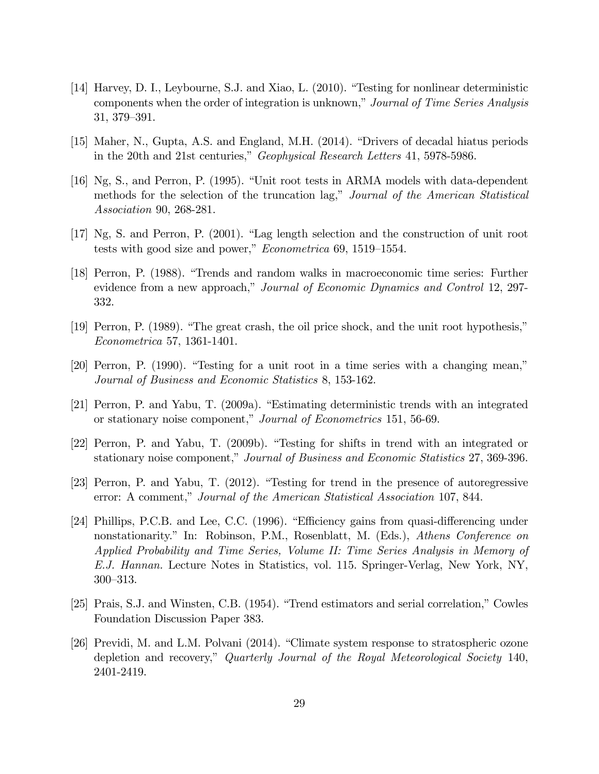- [14] Harvey, D. I., Leybourne, S.J. and Xiao, L. (2010). "Testing for nonlinear deterministic components when the order of integration is unknown," Journal of Time Series Analysis 31, 379–391.
- [15] Maher, N., Gupta, A.S. and England, M.H. (2014). "Drivers of decadal hiatus periods in the 20th and 21st centuries," Geophysical Research Letters 41, 5978-5986.
- [16] Ng, S., and Perron, P. (1995). "Unit root tests in ARMA models with data-dependent methods for the selection of the truncation lag," Journal of the American Statistical Association 90, 268-281.
- [17] Ng, S. and Perron, P. (2001). "Lag length selection and the construction of unit root tests with good size and power," Econometrica 69, 1519–1554.
- [18] Perron, P. (1988). "Trends and random walks in macroeconomic time series: Further evidence from a new approach," Journal of Economic Dynamics and Control 12, 297-332.
- [19] Perron, P. (1989). "The great crash, the oil price shock, and the unit root hypothesis," Econometrica 57, 1361-1401.
- [20] Perron, P. (1990). "Testing for a unit root in a time series with a changing mean," Journal of Business and Economic Statistics 8, 153-162.
- [21] Perron, P. and Yabu, T. (2009a). "Estimating deterministic trends with an integrated or stationary noise component," Journal of Econometrics 151, 56-69.
- [22] Perron, P. and Yabu, T. (2009b). "Testing for shifts in trend with an integrated or stationary noise component," Journal of Business and Economic Statistics 27, 369-396.
- [23] Perron, P. and Yabu, T. (2012). "Testing for trend in the presence of autoregressive error: A comment," Journal of the American Statistical Association 107, 844.
- [24] Phillips, P.C.B. and Lee, C.C. (1996). "Efficiency gains from quasi-differencing under nonstationarity." In: Robinson, P.M., Rosenblatt, M. (Eds.), Athens Conference on Applied Probability and Time Series, Volume II: Time Series Analysis in Memory of E.J. Hannan. Lecture Notes in Statistics, vol. 115. Springer-Verlag, New York, NY, 300–313.
- [25] Prais, S.J. and Winsten, C.B. (1954). "Trend estimators and serial correlation," Cowles Foundation Discussion Paper 383.
- [26] Previdi, M. and L.M. Polvani (2014). "Climate system response to stratospheric ozone depletion and recovery," Quarterly Journal of the Royal Meteorological Society 140, 2401-2419.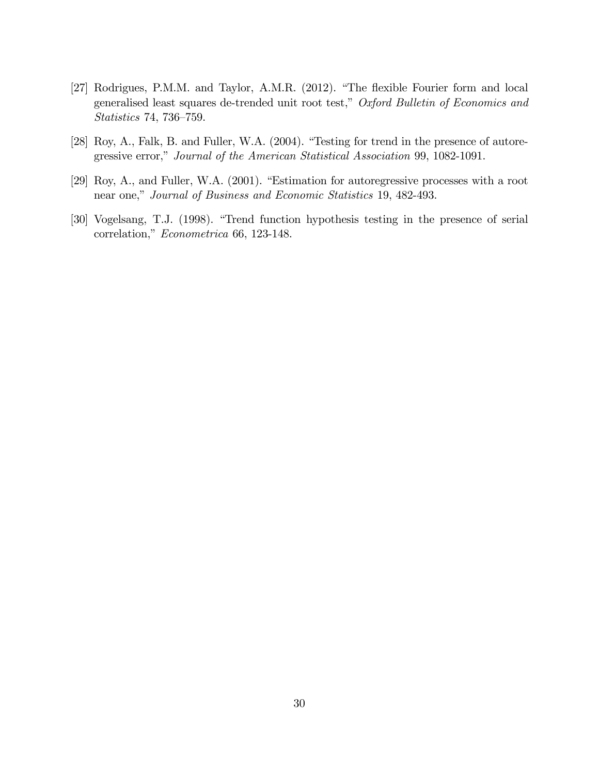- [27] Rodrigues, P.M.M. and Taylor, A.M.R. (2012). "The flexible Fourier form and local generalised least squares de-trended unit root test," Oxford Bulletin of Economics and Statistics 74, 736–759.
- [28] Roy, A., Falk, B. and Fuller, W.A. (2004). "Testing for trend in the presence of autoregressive error," Journal of the American Statistical Association 99, 1082-1091.
- [29] Roy, A., and Fuller, W.A. (2001). "Estimation for autoregressive processes with a root near one," Journal of Business and Economic Statistics 19, 482-493.
- [30] Vogelsang, T.J. (1998). "Trend function hypothesis testing in the presence of serial correlation," Econometrica 66, 123-148.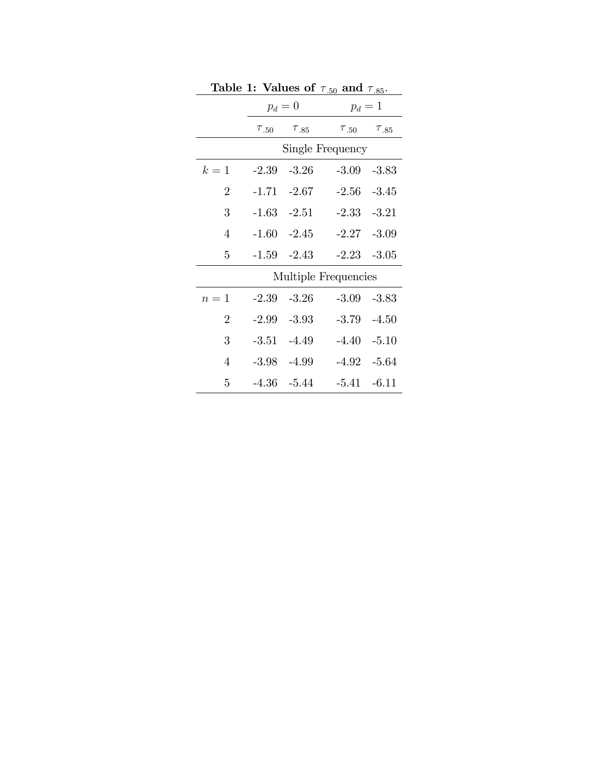|                |         | $\frac{1}{2}$             | . ou<br>$\ldots$          |         |
|----------------|---------|---------------------------|---------------------------|---------|
|                | $p_d=0$ |                           | $p_d=1$                   |         |
|                |         | $\tau_{.50}$ $\tau_{.85}$ | $\tau_{.50}$ $\tau_{.85}$ |         |
|                |         |                           | Single Frequency          |         |
| $k=1$          |         | $-2.39 -3.26$             | $-3.09$                   | $-3.83$ |
| $\overline{2}$ |         | $-1.71 -2.67$             | $-2.56 -3.45$             |         |
| 3              |         | $-1.63 -2.51$             | $-2.33 - 3.21$            |         |
| $\overline{4}$ |         | $-1.60 -2.45$             | $-2.27 -3.09$             |         |
| 5              |         | $-1.59 -2.43$             | $-2.23 -3.05$             |         |
|                |         |                           | Multiple Frequencies      |         |
| $n=1$          | $-2.39$ | $-3.26$                   | $-3.09$                   | $-3.83$ |
| $\overline{2}$ |         | $-2.99 - 3.93$            | $-3.79 - 4.50$            |         |
| 3              |         | $-3.51 -4.49$             | $-4.40 -5.10$             |         |
| $\overline{4}$ |         | $-3.98$ $-4.99$           | $-4.92 -5.64$             |         |
| 5              |         | $-4.36 - 5.44$            | $-5.41 -6.11$             |         |

Table 1: Values of  $\tau_{50}$  and  $\tau_{85}$ .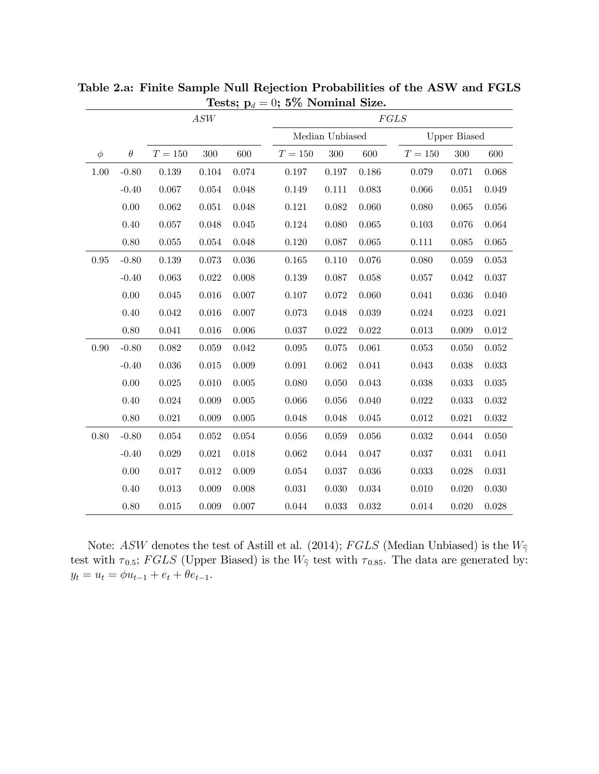|          |          |             | $\mathcal{ASW}$ |             | FGLS        |                 |             |                     |       |             |  |
|----------|----------|-------------|-----------------|-------------|-------------|-----------------|-------------|---------------------|-------|-------------|--|
|          |          |             |                 |             |             | Median Unbiased |             | <b>Upper Biased</b> |       |             |  |
| $\phi$   | $\theta$ | $T=150\,$   | 300             | 600         | $T=150\,$   | 300             | 600         | $T=150\,$           | 300   | 600         |  |
| 1.00     | $-0.80$  | $0.139\,$   | $\,0.104\,$     | 0.074       | $0.197\,$   | 0.197           | 0.186       | 0.079               | 0.071 | 0.068       |  |
|          | $-0.40$  | 0.067       | $\,0.054\,$     | 0.048       | 0.149       | 0.111           | 0.083       | 0.066               | 0.051 | 0.049       |  |
|          | 0.00     | $\,0.062\,$ | $\,0.051\,$     | 0.048       | $0.121\,$   | 0.082           | 0.060       | 0.080               | 0.065 | $0.056\,$   |  |
|          | 0.40     | 0.057       | 0.048           | 0.045       | 0.124       | 0.080           | 0.065       | 0.103               | 0.076 | 0.064       |  |
|          | 0.80     | 0.055       | 0.054           | 0.048       | 0.120       | 0.087           | 0.065       | 0.111               | 0.085 | 0.065       |  |
| 0.95     | $-0.80$  | $0.139\,$   | 0.073           | $\,0.036\,$ | 0.165       | 0.110           | 0.076       | 0.080               | 0.059 | $\,0.053\,$ |  |
|          | $-0.40$  | 0.063       | 0.022           | $0.008\,$   | 0.139       | 0.087           | $0.058\,$   | 0.057               | 0.042 | 0.037       |  |
|          | 0.00     | $\,0.045\,$ | 0.016           | 0.007       | 0.107       | 0.072           | 0.060       | 0.041               | 0.036 | 0.040       |  |
|          | 0.40     | 0.042       | 0.016           | 0.007       | $0.073\,$   | 0.048           | 0.039       | 0.024               | 0.023 | 0.021       |  |
|          | 0.80     | 0.041       | 0.016           | 0.006       | 0.037       | 0.022           | 0.022       | $\,0.013\,$         | 0.009 | $\,0.012\,$ |  |
| $0.90\,$ | $-0.80$  | $\,0.082\,$ | $\,0.059\,$     | $\,0.042\,$ | $\,0.095\,$ | 0.075           | 0.061       | $\,0.053\,$         | 0.050 | 0.052       |  |
|          | $-0.40$  | 0.036       | $\,0.015\,$     | 0.009       | 0.091       | 0.062           | 0.041       | 0.043               | 0.038 | 0.033       |  |
|          | 0.00     | $0.025\,$   | 0.010           | 0.005       | 0.080       | 0.050           | 0.043       | 0.038               | 0.033 | 0.035       |  |
|          | 0.40     | $\,0.024\,$ | 0.009           | 0.005       | 0.066       | $0.056\,$       | 0.040       | $\,0.022\,$         | 0.033 | $\,0.032\,$ |  |
|          | 0.80     | 0.021       | 0.009           | 0.005       | 0.048       | 0.048           | 0.045       | 0.012               | 0.021 | 0.032       |  |
| 0.80     | $-0.80$  | 0.054       | 0.052           | 0.054       | 0.056       | 0.059           | 0.056       | 0.032               | 0.044 | 0.050       |  |
|          | $-0.40$  | 0.029       | 0.021           | 0.018       | 0.062       | 0.044           | 0.047       | 0.037               | 0.031 | 0.041       |  |
|          | 0.00     | $0.017\,$   | $\,0.012\,$     | 0.009       | 0.054       | 0.037           | 0.036       | 0.033               | 0.028 | $\,0.031\,$ |  |
|          | 0.40     | $\,0.013\,$ | 0.009           | 0.008       | $\,0.031\,$ | 0.030           | $\,0.034\,$ | $0.010\,$           | 0.020 | $0.030\,$   |  |
|          | 0.80     | $\,0.015\,$ | 0.009           | 0.007       | 0.044       | 0.033           | $\,0.032\,$ | $0.014\,$           | 0.020 | $0.028\,$   |  |

Table 2.a: Finite Sample Null Rejection Probabilities of the ASW and FGLS Tests;  $p_d = 0$ ; 5% Nominal Size.

Note: ASW denotes the test of Astill et al. (2014); FGLS (Median Unbiased) is the  $W_{\hat{\gamma}}$ test with  $\tau_{0.5}$ ; FGLS (Upper Biased) is the  $W_{\hat{\gamma}}$  test with  $\tau_{0.85}$ . The data are generated by:  $y_t = u_t = \phi u_{t-1} + e_t + \theta e_{t-1}.$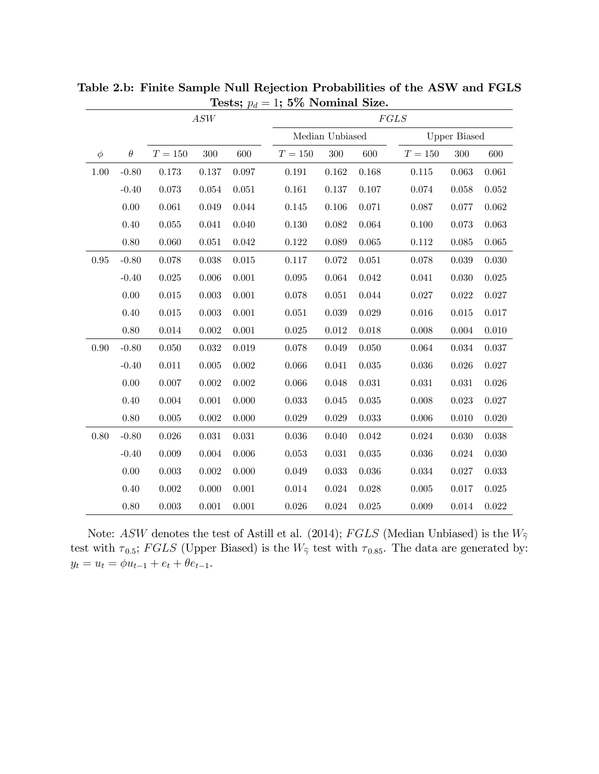|            |          |             | $\mathcal{ASW}$ |             | FGLS        |                 |             |             |                     |             |  |
|------------|----------|-------------|-----------------|-------------|-------------|-----------------|-------------|-------------|---------------------|-------------|--|
|            |          |             |                 |             |             | Median Unbiased |             |             | <b>Upper Biased</b> |             |  |
| $\phi$     | $\theta$ | $T=150\,$   | 300             | 600         | $T=150$     | 300             | 600         | $T=150\,$   | 300                 | 600         |  |
| 1.00       | $-0.80$  | 0.173       | 0.137           | 0.097       | $\,0.191\,$ | 0.162           | $0.168\,$   | 0.115       | 0.063               | 0.061       |  |
|            | $-0.40$  | $\,0.073\,$ | 0.054           | 0.051       | 0.161       | 0.137           | 0.107       | 0.074       | 0.058               | 0.052       |  |
|            | 0.00     | 0.061       | 0.049           | 0.044       | 0.145       | 0.106           | 0.071       | 0.087       | 0.077               | $\,0.062\,$ |  |
|            | 0.40     | $\,0.055\,$ | 0.041           | 0.040       | 0.130       | 0.082           | 0.064       | 0.100       | 0.073               | 0.063       |  |
|            | 0.80     | 0.060       | 0.051           | $\,0.042\,$ | 0.122       | 0.089           | 0.065       | 0.112       | 0.085               | 0.065       |  |
| $\,0.95\,$ | $-0.80$  | 0.078       | 0.038           | $0.015\,$   | 0.117       | 0.072           | 0.051       | 0.078       | 0.039               | 0.030       |  |
|            | $-0.40$  | $\,0.025\,$ | 0.006           | 0.001       | $\,0.095\,$ | 0.064           | 0.042       | 0.041       | 0.030               | $\,0.025\,$ |  |
|            | 0.00     | $0.015\,$   | 0.003           | 0.001       | 0.078       | 0.051           | 0.044       | 0.027       | 0.022               | $0.027\,$   |  |
|            | 0.40     | $\,0.015\,$ | 0.003           | 0.001       | 0.051       | 0.039           | 0.029       | $0.016\,$   | 0.015               | 0.017       |  |
|            | 0.80     | $0.014\,$   | $0.002\,$       | 0.001       | $\,0.025\,$ | 0.012           | 0.018       | 0.008       | 0.004               | $0.010\,$   |  |
| 0.90       | $-0.80$  | $0.050\,$   | 0.032           | 0.019       | 0.078       | 0.049           | 0.050       | 0.064       | 0.034               | $0.037\,$   |  |
|            | $-0.40$  | 0.011       | 0.005           | $0.002\,$   | 0.066       | 0.041           | 0.035       | $\,0.036\,$ | 0.026               | 0.027       |  |
|            | 0.00     | $0.007\,$   | 0.002           | $0.002\,$   | 0.066       | 0.048           | 0.031       | $\,0.031\,$ | 0.031               | $\,0.026\,$ |  |
|            | 0.40     | $0.004\,$   | 0.001           | 0.000       | 0.033       | 0.045           | 0.035       | 0.008       | 0.023               | $0.027\,$   |  |
|            | 0.80     | $0.005\,$   | 0.002           | 0.000       | 0.029       | 0.029           | 0.033       | 0.006       | 0.010               | $0.020\,$   |  |
| 0.80       | $-0.80$  | $0.026\,$   | 0.031           | 0.031       | $\,0.036\,$ | 0.040           | $\,0.042\,$ | 0.024       | 0.030               | $\,0.038\,$ |  |
|            | $-0.40$  | $0.009\,$   | $0.004\,$       | 0.006       | $\,0.053\,$ | $\,0.031\,$     | $\,0.035\,$ | $\,0.036\,$ | 0.024               | $0.030\,$   |  |
|            | 0.00     | $0.003\,$   | $0.002\,$       | 0.000       | 0.049       | 0.033           | 0.036       | 0.034       | 0.027               | $\,0.033\,$ |  |
|            | 0.40     | $0.002\,$   | 0.000           | 0.001       | 0.014       | $\,0.024\,$     | 0.028       | $\,0.005\,$ | 0.017               | $\,0.025\,$ |  |
|            | 0.80     | $0.003\,$   | 0.001           | 0.001       | $0.026\,$   | 0.024           | $\,0.025\,$ | 0.009       | 0.014               | $\,0.022\,$ |  |

Table 2.b: Finite Sample Null Rejection Probabilities of the ASW and FGLS Tests;  $p_d = 1$ ; 5% Nominal Size.

Note: ASW denotes the test of Astill et al. (2014); FGLS (Median Unbiased) is the  $W_{\hat{\gamma}}$ test with  $\tau_{0.5}$ ; FGLS (Upper Biased) is the  $W_{\hat{\gamma}}$  test with  $\tau_{0.85}$ . The data are generated by:  $y_t = u_t = \phi u_{t-1} + e_t + \theta e_{t-1}.$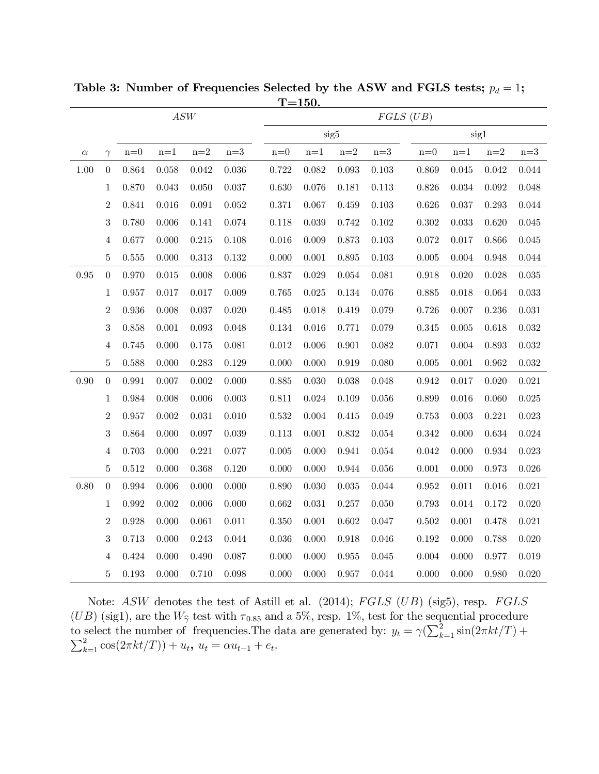| $\mathcal{ASW}$ |                  |                  |                  |                  |                  | $FGLS$ $(UB)$    |       |                  |                  |                  |       |                  |                  |
|-----------------|------------------|------------------|------------------|------------------|------------------|------------------|-------|------------------|------------------|------------------|-------|------------------|------------------|
|                 |                  |                  |                  |                  |                  |                  |       | sig5             |                  |                  | sig1  |                  |                  |
| $\alpha$        | $\gamma$         | $\mathbf{n}{=}0$ | $\mathrm{n}{=}1$ | $\mathrm{n}{=}2$ | $\mathrm{n}{=}3$ | $\mathbf{n}{=}0$ | $n=1$ | $\mathrm{n}{=}2$ | $\mathrm{n}{=}3$ | $\mathbf{n}{=}0$ | $n=1$ | $\mathrm{n}{=}2$ | $\mathrm{n}{=}3$ |
| 1.00            | $\boldsymbol{0}$ | 0.864            | 0.058            | 0.042            | $\,0.036\,$      | 0.722            | 0.082 | 0.093            | $\rm 0.103$      | 0.869            | 0.045 | 0.042            | $\,0.044\,$      |
|                 | $\mathbf{1}$     | 0.870            | 0.043            | 0.050            | 0.037            | 0.630            | 0.076 | 0.181            | $0.113\,$        | 0.826            | 0.034 | 0.092            | $0.048\,$        |
|                 | $\overline{2}$   | 0.841            | 0.016            | $\,0.091\,$      | 0.052            | 0.371            | 0.067 | 0.459            | $\rm 0.103$      | 0.626            | 0.037 | 0.293            | $\,0.044\,$      |
|                 | 3                | 0.780            | 0.006            | 0.141            | 0.074            | 0.118            | 0.039 | 0.742            | $0.102\,$        | 0.302            | 0.033 | 0.620            | 0.045            |
|                 | $\overline{4}$   | 0.677            | 0.000            | $\rm 0.215$      | 0.108            | 0.016            | 0.009 | 0.873            | 0.103            | 0.072            | 0.017 | 0.866            | $0.045\,$        |
|                 | $\bf 5$          | 0.555            | 0.000            | 0.313            | 0.132            | 0.000            | 0.001 | 0.895            | $\rm 0.103$      | 0.005            | 0.004 | 0.948            | $\,0.044\,$      |
| $0.95\,$        | $\boldsymbol{0}$ | 0.970            | $\,0.015\,$      | 0.008            | 0.006            | 0.837            | 0.029 | 0.054            | 0.081            | 0.918            | 0.020 | 0.028            | $\,0.035\,$      |
|                 | $\mathbf{1}$     | 0.957            | 0.017            | 0.017            | 0.009            | 0.765            | 0.025 | 0.134            | 0.076            | 0.885            | 0.018 | 0.064            | $\,0.033\,$      |
|                 | $\overline{2}$   | 0.936            | 0.008            | 0.037            | 0.020            | 0.485            | 0.018 | 0.419            | 0.079            | 0.726            | 0.007 | 0.236            | 0.031            |
|                 | 3                | 0.858            | 0.001            | 0.093            | 0.048            | 0.134            | 0.016 | 0.771            | 0.079            | 0.345            | 0.005 | 0.618            | $\,0.032\,$      |
|                 | $\overline{4}$   | 0.745            | 0.000            | 0.175            | 0.081            | 0.012            | 0.006 | 0.901            | $\,0.082\,$      | 0.071            | 0.004 | 0.893            | $\,0.032\,$      |
|                 | $\bf 5$          | 0.588            | 0.000            | 0.283            | 0.129            | 0.000            | 0.000 | 0.919            | 0.080            | 0.005            | 0.001 | $\,0.962\,$      | $\,0.032\,$      |
| 0.90            | $\boldsymbol{0}$ | 0.991            | 0.007            | 0.002            | 0.000            | 0.885            | 0.030 | 0.038            | 0.048            | 0.942            | 0.017 | 0.020            | 0.021            |
|                 | $\mathbf{1}$     | 0.984            | 0.008            | 0.006            | 0.003            | 0.811            | 0.024 | 0.109            | 0.056            | 0.899            | 0.016 | 0.060            | $\,0.025\,$      |
|                 | $\overline{2}$   | 0.957            | 0.002            | $\,0.031\,$      | 0.010            | 0.532            | 0.004 | 0.415            | 0.049            | 0.753            | 0.003 | 0.221            | 0.023            |
|                 | 3                | 0.864            | 0.000            | 0.097            | 0.039            | 0.113            | 0.001 | 0.832            | $\,0.054\,$      | 0.342            | 0.000 | 0.634            | $\,0.024\,$      |
|                 | $\overline{4}$   | 0.703            | 0.000            | 0.221            | 0.077            | 0.005            | 0.000 | 0.941            | 0.054            | 0.042            | 0.000 | 0.934            | 0.023            |
|                 | $\bf 5$          | 0.512            | 0.000            | 0.368            | 0.120            | 0.000            | 0.000 | 0.944            | $0.056\,$        | 0.001            | 0.000 | 0.973            | $0.026\,$        |
| 0.80            | $\overline{0}$   | 0.994            | 0.006            | 0.000            | 0.000            | 0.890            | 0.030 | 0.035            | 0.044            | 0.952            | 0.011 | 0.016            | 0.021            |
|                 | $\mathbf{1}$     | 0.992            | 0.002            | 0.006            | 0.000            | 0.662            | 0.031 | 0.257            | 0.050            | 0.793            | 0.014 | 0.172            | 0.020            |
|                 | $\overline{2}$   | 0.928            | 0.000            | 0.061            | 0.011            | 0.350            | 0.001 | 0.602            | 0.047            | 0.502            | 0.001 | 0.478            | 0.021            |
|                 | 3                | 0.713            | 0.000            | 0.243            | 0.044            | 0.036            | 0.000 | 0.918            | 0.046            | 0.192            | 0.000 | 0.788            | 0.020            |
|                 | $\overline{4}$   | 0.424            | 0.000            | 0.490            | 0.087            | 0.000            | 0.000 | 0.955            | 0.045            | 0.004            | 0.000 | 0.977            | 0.019            |
|                 | $\overline{5}$   | 0.193            | 0.000            | 0.710            | 0.098            | 0.000            | 0.000 | 0.957            | 0.044            | 0.000            | 0.000 | 0.980            | 0.020            |

Table 3: Number of Frequencies Selected by the ASW and FGLS tests;  $p_d = 1$ ;  $T=150.$ 

Note: ASW denotes the test of Astill et al. (2014); FGLS (UB) (sig5), resp. FGLS  $(UB)$  (sig1), are the  $W_{\hat{\gamma}}$  test with  $\tau_{0.85}$  and a 5%, resp. 1%, test for the sequential procedure to select the number of frequencies. The data are generated by:  $y_t = \gamma \left( \sum_{k=1}^2 \frac{S^2}{\sum_{k=1}^2 \cos(2\pi kt/T)} \right) + u_t$ ,  $u_t = \alpha u_{t-1} + e_t$ .  $\sin(2\pi kt/T) +$ 2  $u_{k=1}^2 \cos(2\pi kt/T)) + u_t, u_t = \alpha u_{t-1} + e_t.$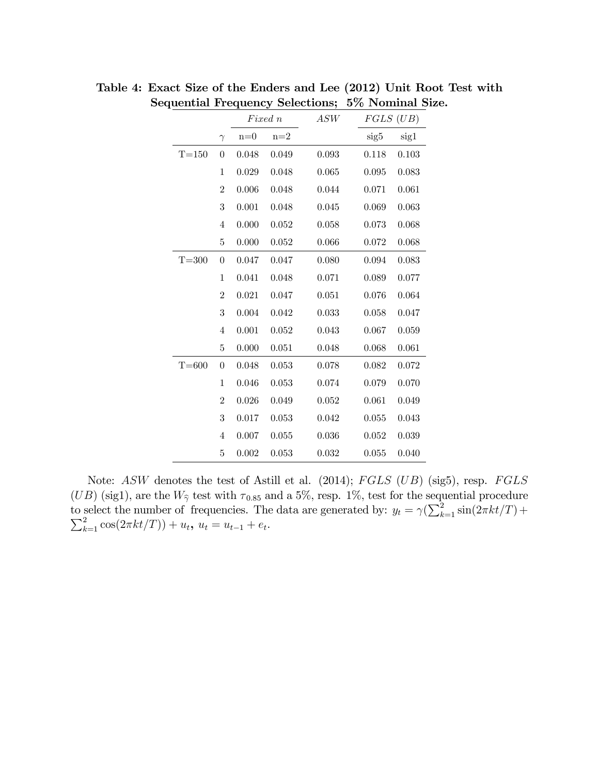|           |                |           | Fixed n          | ASW   | $FGLS$ $(UB)$ |       |
|-----------|----------------|-----------|------------------|-------|---------------|-------|
|           | $\gamma$       | $n=0$     | $\mathrm{n}{=}2$ |       | sig5          | sig1  |
| $T=150$   | $\overline{0}$ | 0.048     | 0.049            | 0.093 | 0.118         | 0.103 |
|           | $\mathbf{1}$   | 0.029     | 0.048            | 0.065 | 0.095         | 0.083 |
|           | $\overline{2}$ | 0.006     | 0.048            | 0.044 | 0.071         | 0.061 |
|           | 3              | 0.001     | 0.048            | 0.045 | 0.069         | 0.063 |
|           | $\overline{4}$ | 0.000     | 0.052            | 0.058 | 0.073         | 0.068 |
|           | 5              | $0.000\,$ | 0.052            | 0.066 | 0.072         | 0.068 |
| $T = 300$ | 0              | 0.047     | 0.047            | 0.080 | 0.094         | 0.083 |
|           | $\mathbf 1$    | 0.041     | 0.048            | 0.071 | 0.089         | 0.077 |
|           | $\overline{2}$ | 0.021     | 0.047            | 0.051 | 0.076         | 0.064 |
|           | 3              | 0.004     | 0.042            | 0.033 | 0.058         | 0.047 |
|           | $\overline{4}$ | 0.001     | 0.052            | 0.043 | 0.067         | 0.059 |
|           | 5              | 0.000     | 0.051            | 0.048 | 0.068         | 0.061 |
| $T = 600$ | $\overline{0}$ | 0.048     | 0.053            | 0.078 | 0.082         | 0.072 |
|           | $\mathbf{1}$   | 0.046     | 0.053            | 0.074 | 0.079         | 0.070 |
|           | $\overline{2}$ | 0.026     | 0.049            | 0.052 | 0.061         | 0.049 |
|           | 3              | 0.017     | 0.053            | 0.042 | 0.055         | 0.043 |
|           | 4              | 0.007     | 0.055            | 0.036 | 0.052         | 0.039 |
|           | 5              | 0.002     | 0.053            | 0.032 | 0.055         | 0.040 |

Table 4: Exact Size of the Enders and Lee (2012) Unit Root Test with Sequential Frequency Selections; 5% Nominal Size.

Note: ASW denotes the test of Astill et al. (2014); FGLS (UB) (sig5), resp. FGLS  $(UB)$  (sig1), are the  $W_{\hat{\gamma}}$  test with  $\tau_{0.85}$  and a 5%, resp. 1%, test for the sequential procedure to select the number of frequencies. The data are generated by:  $y_t = \gamma \left( \sum_{k=1}^2 \frac{1}{\sum_{k=1}^2 \cos(2\pi kt/T)} \right) + u_t$ ,  $u_t = u_{t-1} + e_t$ .  $\sin(2\pi kt/T)+$ 2  $\sum_{k=1}^{2} \cos(2\pi kt/T)) + u_t, u_t = u_{t-1} + e_t.$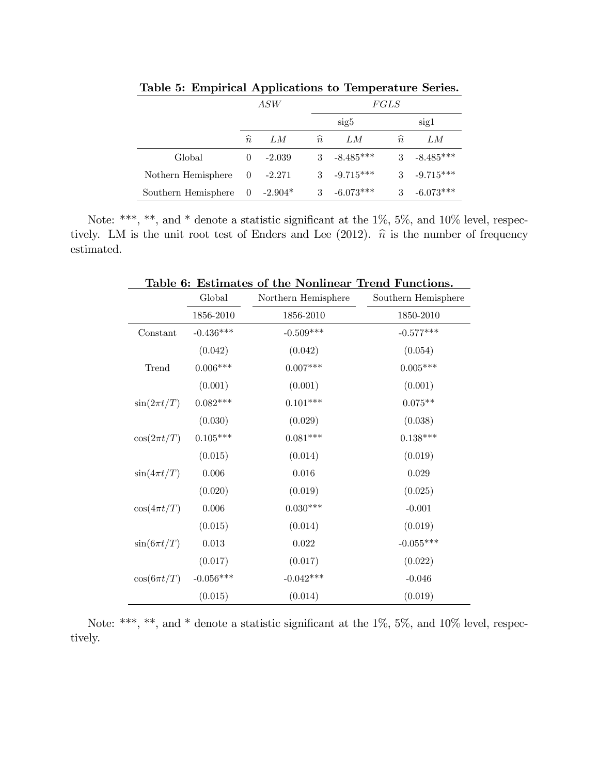|                     | $\mathit{ASW}$ |           |               | FGLS        |               |             |  |  |
|---------------------|----------------|-----------|---------------|-------------|---------------|-------------|--|--|
|                     |                |           |               | sig5        |               | sig1        |  |  |
|                     | $\widehat{n}$  | LМ        | $\widehat{n}$ | LМ          | $\widehat{n}$ | LМ          |  |  |
| Global              | $\Omega$       | $-2.039$  | 3             | $-8.485***$ |               | $-8.485***$ |  |  |
| Nothern Hemisphere  | $\overline{0}$ | -2.271    | 3             | $-9.715***$ | 3             | $-9.715***$ |  |  |
| Southern Hemisphere | - 0            | $-2.904*$ | 3             | $-6.073***$ |               | $-6.073***$ |  |  |

Table 5: Empirical Applications to Temperature Series.

Note: \*\*\*, \*\*, and \* denote a statistic significant at the  $1\%$ , 5%, and  $10\%$  level, respectively. LM is the unit root test of Enders and Lee (2012).  $\hat{n}$  is the number of frequency estimated.

| Table 6: Estimates of the Nonlinear Trend Functions. |             |                     |                     |  |  |  |  |  |  |
|------------------------------------------------------|-------------|---------------------|---------------------|--|--|--|--|--|--|
|                                                      | Global      | Northern Hemisphere | Southern Hemisphere |  |  |  |  |  |  |
|                                                      | 1856-2010   | 1856-2010           | 1850-2010           |  |  |  |  |  |  |
| Constant                                             | $-0.436***$ | $-0.509***$         | $-0.577***$         |  |  |  |  |  |  |
|                                                      | (0.042)     | (0.042)             | (0.054)             |  |  |  |  |  |  |
| Trend                                                | $0.006***$  | $0.007***$          | $0.005***$          |  |  |  |  |  |  |
|                                                      | (0.001)     | (0.001)             | (0.001)             |  |  |  |  |  |  |
| $\sin(2\pi t/T)$                                     | $0.082***$  | $0.101***$          | $0.075**$           |  |  |  |  |  |  |
|                                                      | (0.030)     | (0.029)             | (0.038)             |  |  |  |  |  |  |
| $\cos(2\pi t/T)$                                     | $0.105***$  | $0.081***$          | $0.138***$          |  |  |  |  |  |  |
|                                                      | (0.015)     | (0.014)             | (0.019)             |  |  |  |  |  |  |
| $\sin(4\pi t/T)$                                     | 0.006       | 0.016               | 0.029               |  |  |  |  |  |  |
|                                                      | (0.020)     | (0.019)             | (0.025)             |  |  |  |  |  |  |
| $\cos(4\pi t/T)$                                     | 0.006       | $0.030***$          | $-0.001$            |  |  |  |  |  |  |
|                                                      | (0.015)     | (0.014)             | (0.019)             |  |  |  |  |  |  |
| $\sin(6\pi t/T)$                                     | 0.013       | $\,0.022\,$         | $-0.055***$         |  |  |  |  |  |  |
|                                                      | (0.017)     | (0.017)             | (0.022)             |  |  |  |  |  |  |
| $\cos(6\pi t/T)$                                     | $-0.056***$ | $-0.042***$         | $-0.046$            |  |  |  |  |  |  |
|                                                      | (0.015)     | (0.014)             | (0.019)             |  |  |  |  |  |  |

Note: \*\*\*, \*\*, and \* denote a statistic significant at the  $1\%$ , 5%, and  $10\%$  level, respectively.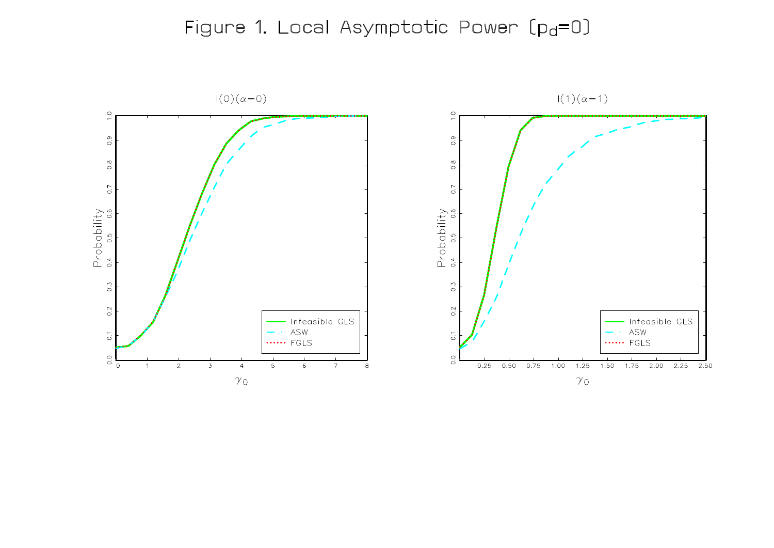# Figure 1. Local Asymptotic Power [pd=0]

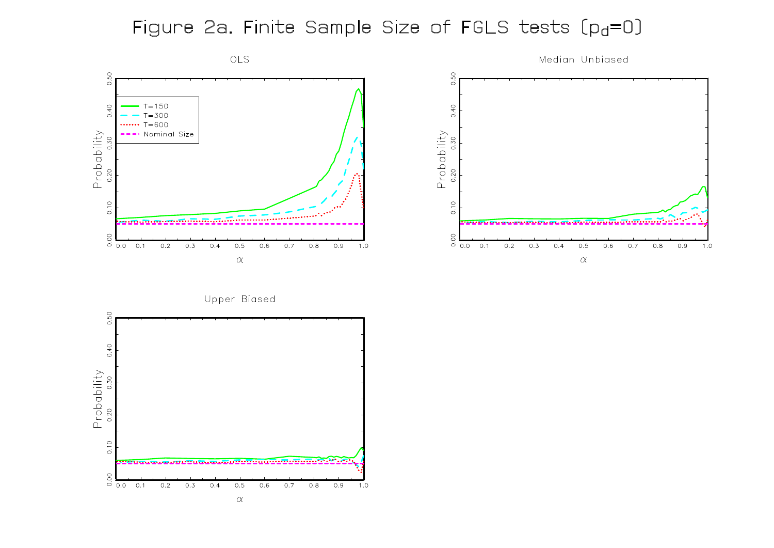## Figure 2a. Finite Sample Size of FGLS tests [pd=0]



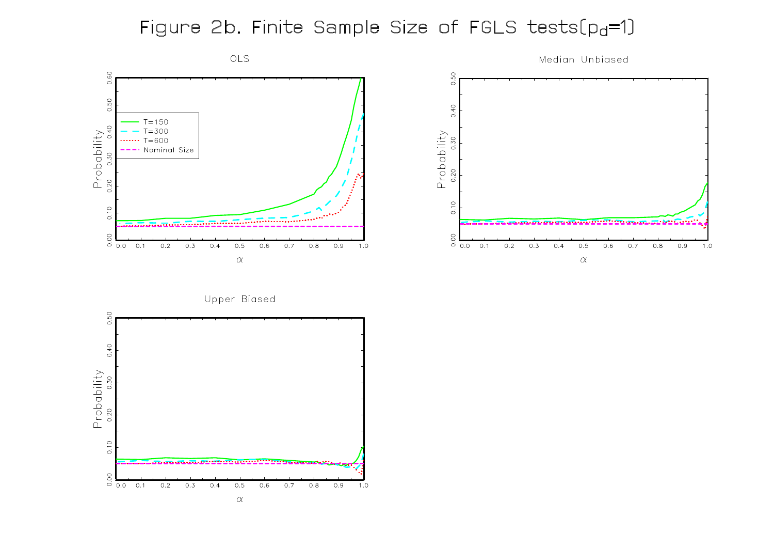## Figure 2b. Finite Sample Size of FGLS tests(pd=1)



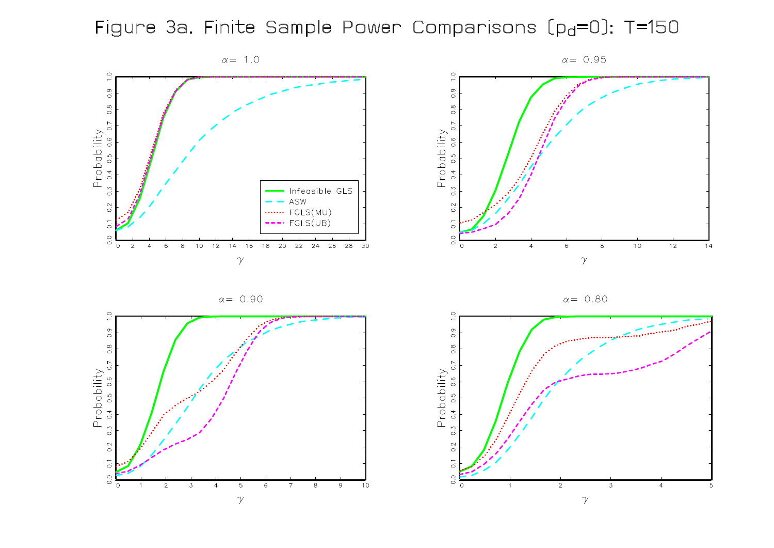## Figure 3a. Finite Sample Power Comparisons (p<sub>d</sub>=0): T=150



 $10$  $\overline{12}$  $\,$  8

 $14$ 

 $\alpha = 0.80$ 

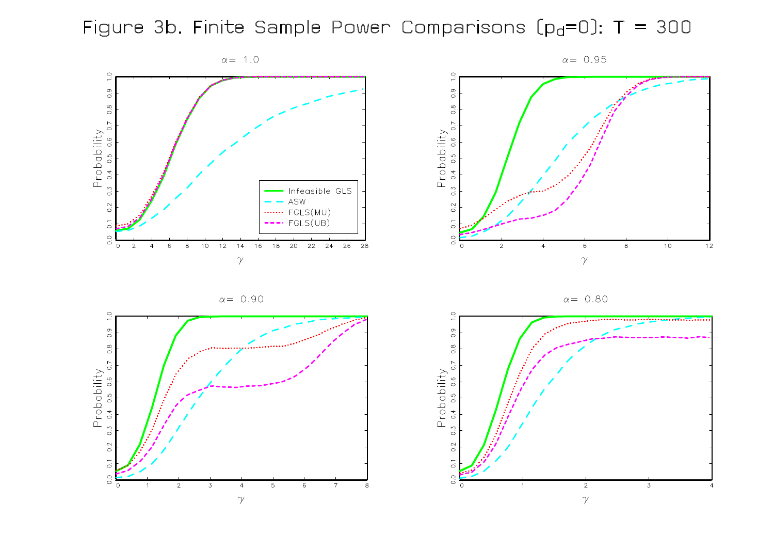Figure 3b. Finite Sample Power Comparisons  $[p_d=0]$ : T = 300





 $\alpha = 0.90$ 





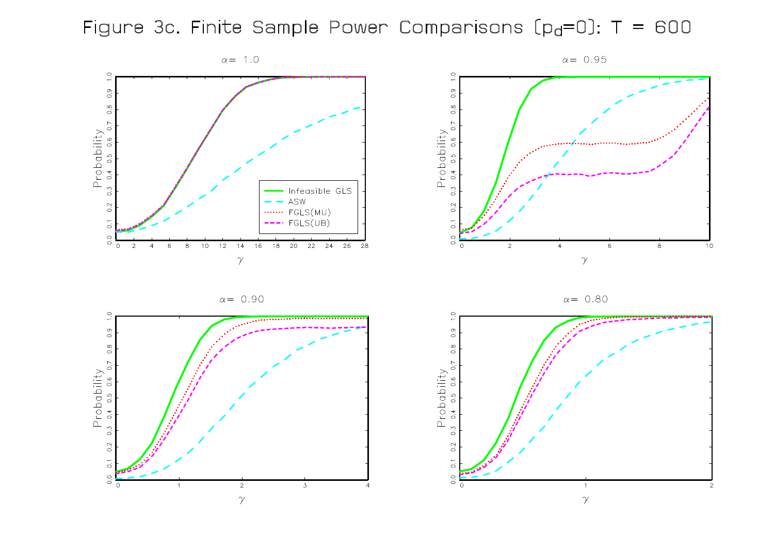Figure 3c. Finite Sample Power Comparisons  $[p_d=0]$ : T = 600











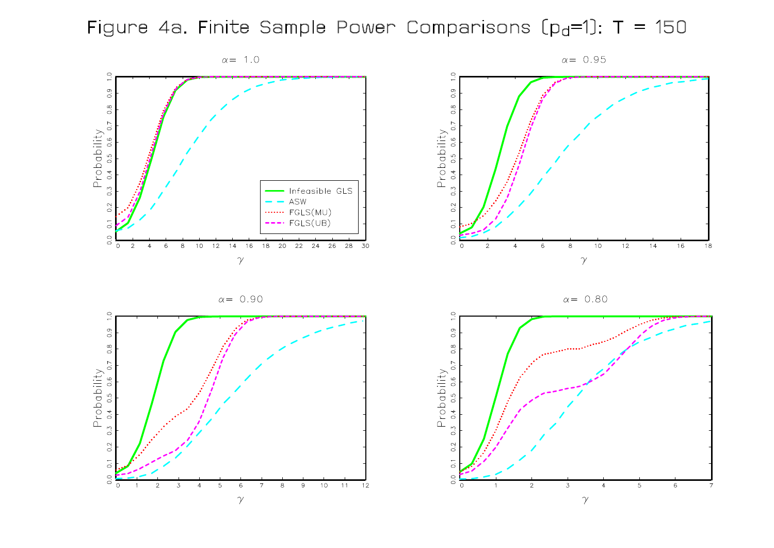## Figure 4a. Finite Sample Power Comparisons  $[p_d=1]$ : T = 150



 $\alpha = 0.95$  $\overline{O}$ .9  $\frac{\alpha}{c}$  $\overline{0}$ Probability<br>3 0.4 0.5 0.6 0.  $0.\overline{3}$  $\overline{0}$ .  $\overline{C}$  $0.0$  $12$  $\circ$  $10<sub>o</sub>$  $14$ 16  $18$  $\overline{2}$  $\,$  6  $\,$  8  $\overline{4}$  $\gamma$ 

 $\alpha = 0.80$ 



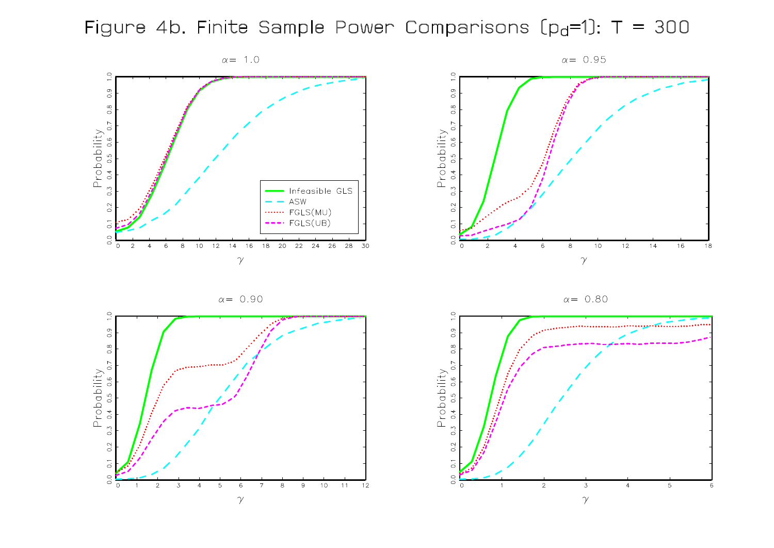## Figure 4b. Finite Sample Power Comparisons  $[p_d=1]$ : T = 300

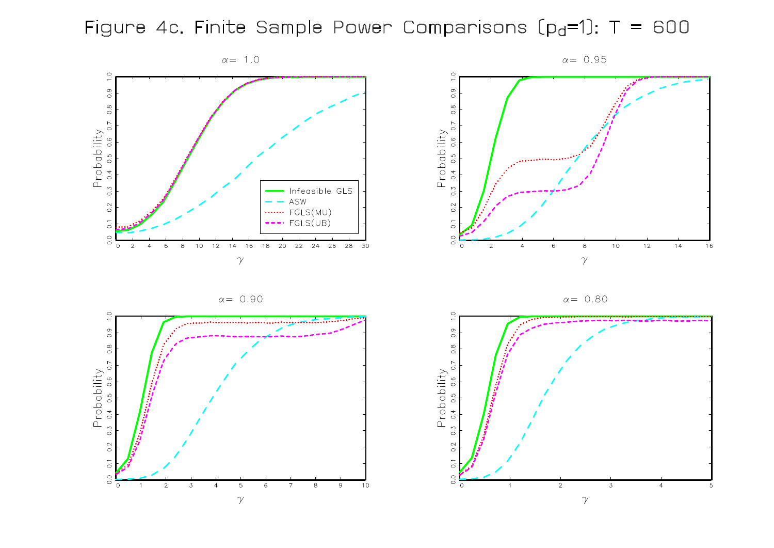## Figure 4c. Finite Sample Power Comparisons  $[p_d=1]$ : T = 600









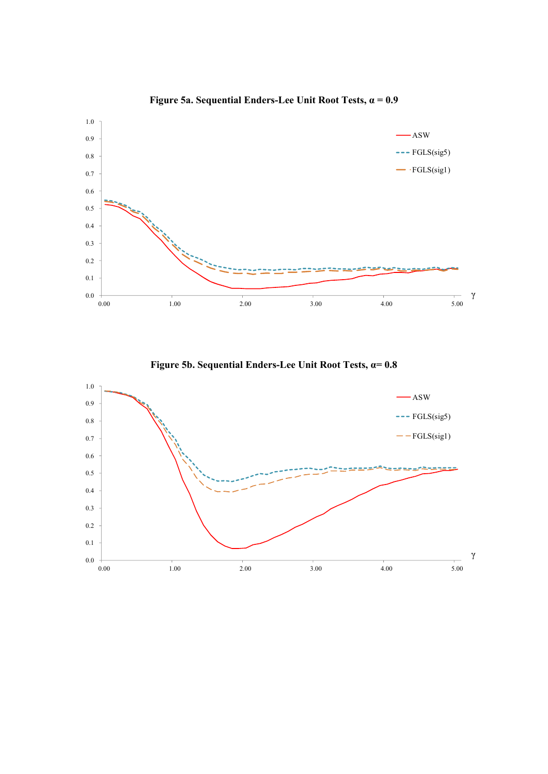

**Figure 5a. Sequential Enders-Lee Unit Root Tests,** α **= 0.9**

**Figure 5b. Sequential Enders-Lee Unit Root Tests,** α**= 0.8**

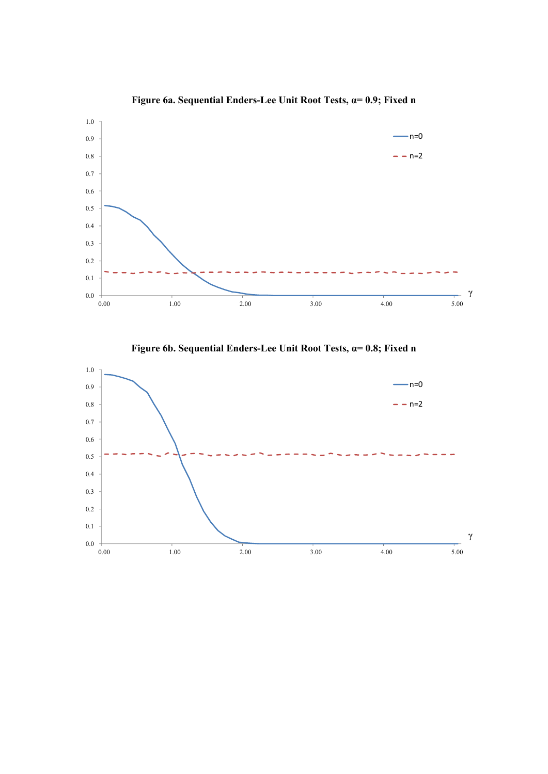

**Figure 6a. Sequential Enders-Lee Unit Root Tests,** α**= 0.9; Fixed n**

**Figure 6b. Sequential Enders-Lee Unit Root Tests,** α**= 0.8; Fixed n**